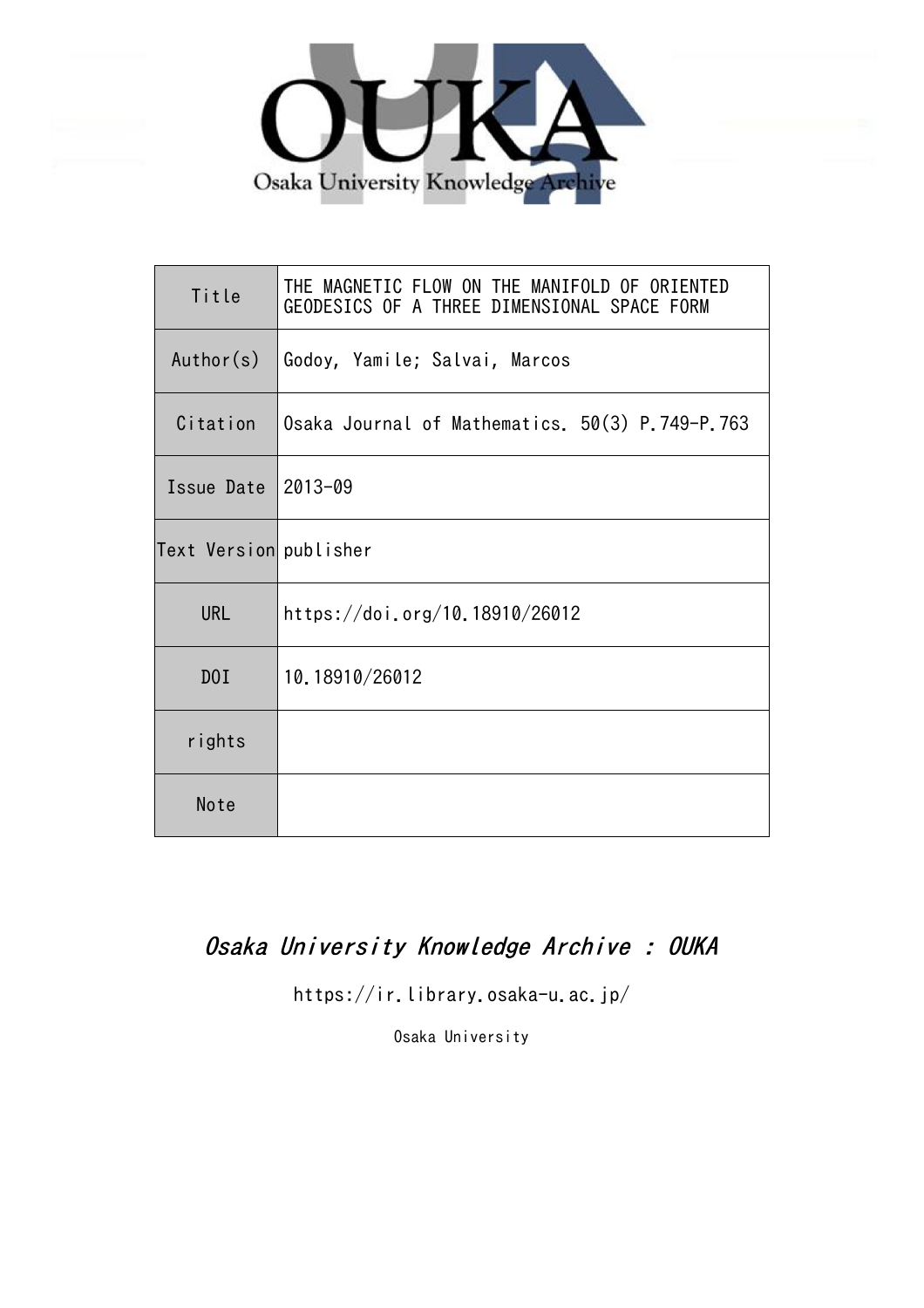

| Title                  | THE MAGNETIC FLOW ON THE MANIFOLD OF ORIENTED<br>GEODESICS OF A THREE DIMENSIONAL SPACE FORM |
|------------------------|----------------------------------------------------------------------------------------------|
| Author(s)              | Godoy, Yamile; Salvai, Marcos                                                                |
| Citation               | Osaka Journal of Mathematics. 50(3) P.749-P.763                                              |
| Issue Date             | 2013-09                                                                                      |
| Text Version publisher |                                                                                              |
| <b>URL</b>             | https://doi.org/10.18910/26012                                                               |
| D0I                    | 10.18910/26012                                                                               |
| rights                 |                                                                                              |
| Note                   |                                                                                              |

# Osaka University Knowledge Archive : OUKA

https://ir.library.osaka-u.ac.jp/

Osaka University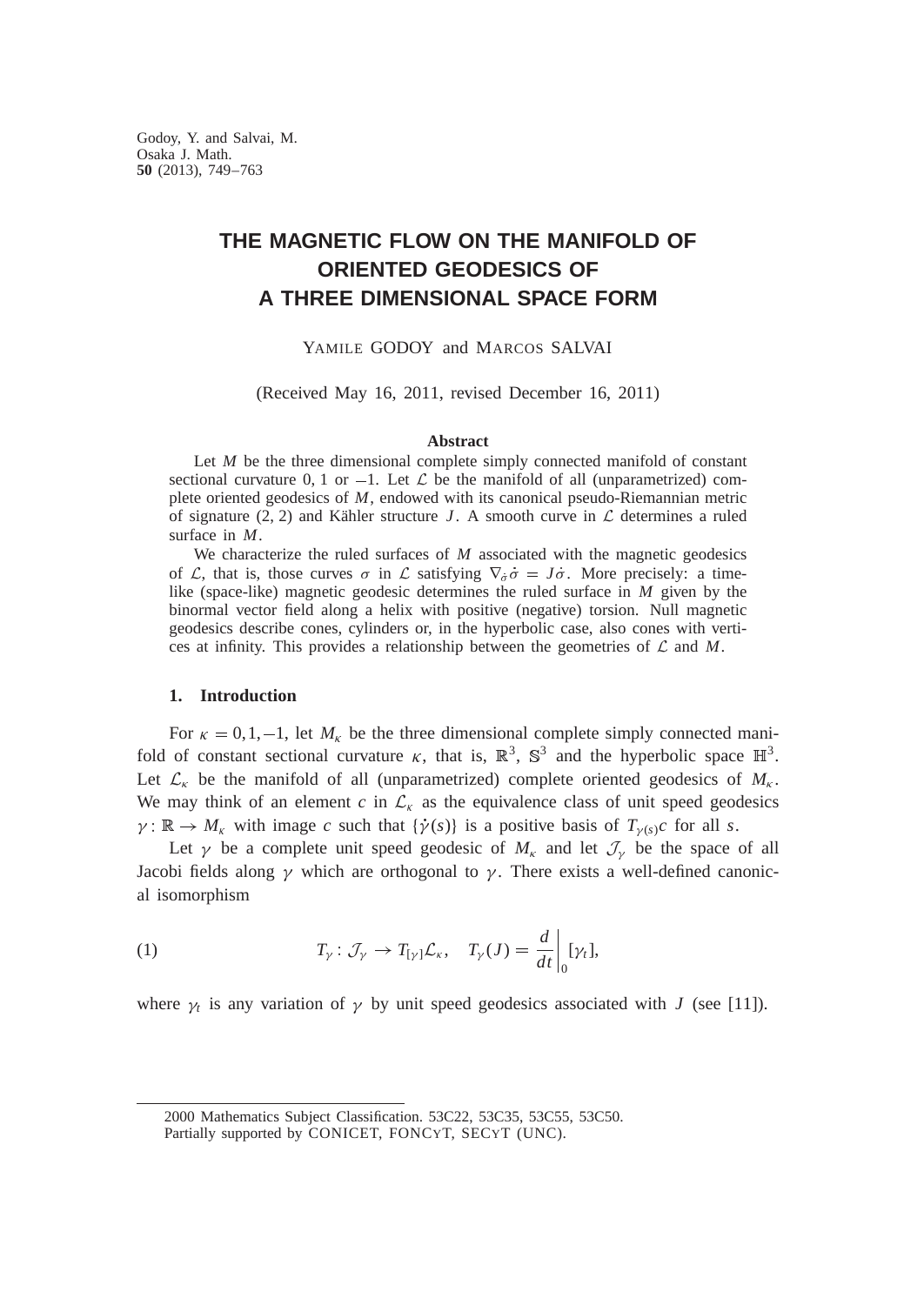## **THE MAGNETIC FLOW ON THE MANIFOLD OF ORIENTED GEODESICS OF A THREE DIMENSIONAL SPACE FORM**

YAMILE GODOY and MARCOS SALVAI

(Received May 16, 2011, revised December 16, 2011)

## **Abstract**

Let *M* be the three dimensional complete simply connected manifold of constant sectional curvature 0, 1 or  $-1$ . Let  $\mathcal L$  be the manifold of all (unparametrized) complete oriented geodesics of *M*, endowed with its canonical pseudo-Riemannian metric of signature (2, 2) and Kähler structure *J*. A smooth curve in  $\mathcal L$  determines a ruled surface in *M*.

We characterize the ruled surfaces of *M* associated with the magnetic geodesics of L, that is, those curves  $\sigma$  in L satisfying  $\nabla_{\dot{\sigma}} \dot{\sigma} = J \dot{\sigma}$ . More precisely: a timelike (space-like) magnetic geodesic determines the ruled surface in *M* given by the binormal vector field along a helix with positive (negative) torsion. Null magnetic geodesics describe cones, cylinders or, in the hyperbolic case, also cones with vertices at infinity. This provides a relationship between the geometries of  $\mathcal L$  and  $M$ .

## **1. Introduction**

For  $\kappa = 0, 1, -1$ , let  $M_{\kappa}$  be the three dimensional complete simply connected manifold of constant sectional curvature  $\kappa$ , that is,  $\mathbb{R}^3$ ,  $\mathbb{S}^3$  and the hyperbolic space  $\mathbb{H}^3$ . Let  $\mathcal{L}_{\kappa}$  be the manifold of all (unparametrized) complete oriented geodesics of  $M_{\kappa}$ . We may think of an element  $c$  in  $\mathcal{L}_{\kappa}$  as the equivalence class of unit speed geodesics  $\gamma: \mathbb{R} \to M_{\kappa}$  with image *c* such that  $\{\dot{\gamma}(s)\}$  is a positive basis of  $T_{\gamma(s)}c$  for all *s*.

Let  $\gamma$  be a complete unit speed geodesic of  $M_k$  and let  $\mathcal{J}_{\gamma}$  be the space of all Jacobi fields along  $\gamma$  which are orthogonal to  $\gamma$ . There exists a well-defined canonical isomorphism

(1) 
$$
T_{\gamma} : \mathcal{J}_{\gamma} \to T_{[\gamma]} \mathcal{L}_{\kappa}, \quad T_{\gamma}(J) = \frac{d}{dt}\bigg|_{0} [\gamma_{t}],
$$

where  $\gamma_t$  is any variation of  $\gamma$  by unit speed geodesics associated with *J* (see [11]).

2000 Mathematics Subject Classification. 53C22, 53C35, 53C55, 53C50.

Partially supported by CONICET, FONCYT, SECYT (UNC).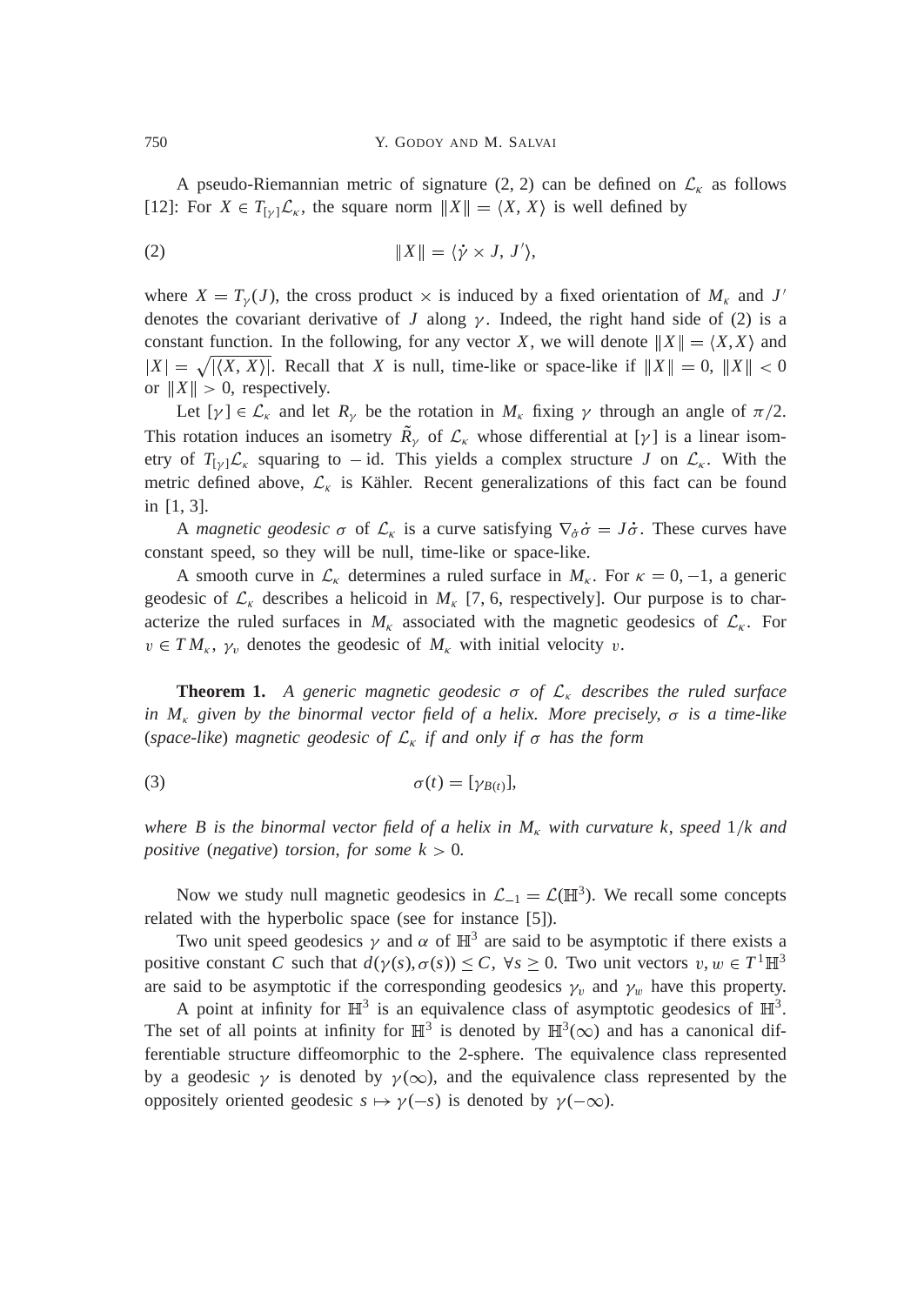A pseudo-Riemannian metric of signature (2, 2) can be defined on  $\mathcal{L}_{\kappa}$  as follows [12]: For  $X \in T_{\{y\}}\mathcal{L}_{\kappa}$ , the square norm  $||X|| = \langle X, X \rangle$  is well defined by

$$
\|X\| = \langle \dot{\gamma} \times J, J' \rangle,
$$

where  $X = T_{\gamma}(J)$ , the cross product  $\times$  is induced by a fixed orientation of  $M_{\kappa}$  and  $J'$ denotes the covariant derivative of *J* along  $\gamma$ . Indeed, the right hand side of (2) is a constant function. In the following, for any vector *X*, we will denote  $||X|| = \langle X, X \rangle$  and  $|X| = \sqrt{|\langle X, X \rangle|}$ . Recall that *X* is null, time-like or space-like if  $||X|| = 0$ ,  $||X|| < 0$ or  $||X|| > 0$ , respectively.

Let  $[\gamma] \in \mathcal{L}_{\kappa}$  and let  $R_{\gamma}$  be the rotation in  $M_{\kappa}$  fixing  $\gamma$  through an angle of  $\pi/2$ . This rotation induces an isometry  $\tilde{R}_{\gamma}$  of  $\mathcal{L}_{\kappa}$  whose differential at [ $\gamma$ ] is a linear isometry of  $T_{[y]} \mathcal{L}_k$  squaring to -id. This yields a complex structure *J* on  $\mathcal{L}_k$ . With the metric defined above,  $\mathcal{L}_{\kappa}$  is Kähler. Recent generalizations of this fact can be found in [1, 3].

A *magnetic geodesic*  $\sigma$  of  $\mathcal{L}_{\kappa}$  is a curve satisfying  $\nabla_{\sigma} \dot{\sigma} = J \dot{\sigma}$ . These curves have constant speed, so they will be null, time-like or space-like.

A smooth curve in  $\mathcal{L}_{\kappa}$  determines a ruled surface in  $M_{\kappa}$ . For  $\kappa = 0, -1$ , a generic geodesic of  $\mathcal{L}_{\kappa}$  describes a helicoid in  $M_{\kappa}$  [7, 6, respectively]. Our purpose is to characterize the ruled surfaces in  $M_k$  associated with the magnetic geodesics of  $\mathcal{L}_k$ . For  $v \in TM_{\kappa}$ ,  $\gamma_v$  denotes the geodesic of  $M_{\kappa}$  with initial velocity v.

**Theorem 1.** A generic magnetic geodesic  $\sigma$  of  $\mathcal{L}_{\kappa}$  describes the ruled surface *in*  $M_k$  given by the binormal vector field of a helix. More precisely,  $\sigma$  is a time-like (*space-like*) *magnetic geodesic of*  $\mathcal{L}_{\kappa}$  *if and only if*  $\sigma$  *has the form* 

$$
\sigma(t) = [\gamma_{B(t)}],
$$

*where B is the binormal vector field of a helix in*  $M_k$  *with curvature k, speed*  $1/k$  *and positive* (*negative*) *torsion*, *for some*  $k > 0$ *.* 

Now we study null magnetic geodesics in  $\mathcal{L}_{-1} = \mathcal{L}(\mathbb{H}^3)$ . We recall some concepts related with the hyperbolic space (see for instance [5]).

Two unit speed geodesics  $\gamma$  and  $\alpha$  of  $\mathbb{H}^3$  are said to be asymptotic if there exists a positive constant *C* such that  $d(\gamma(s), \sigma(s)) \leq C$ ,  $\forall s \geq 0$ . Two unit vectors  $v, w \in T^1 \mathbb{H}^3$ are said to be asymptotic if the corresponding geodesics  $\gamma_v$  and  $\gamma_w$  have this property.

A point at infinity for  $\mathbb{H}^3$  is an equivalence class of asymptotic geodesics of  $\mathbb{H}^3$ . The set of all points at infinity for  $\mathbb{H}^3$  is denoted by  $\mathbb{H}^3(\infty)$  and has a canonical differentiable structure diffeomorphic to the 2-sphere. The equivalence class represented by a geodesic  $\gamma$  is denoted by  $\gamma(\infty)$ , and the equivalence class represented by the oppositely oriented geodesic  $s \mapsto \gamma(-s)$  is denoted by  $\gamma(-\infty)$ .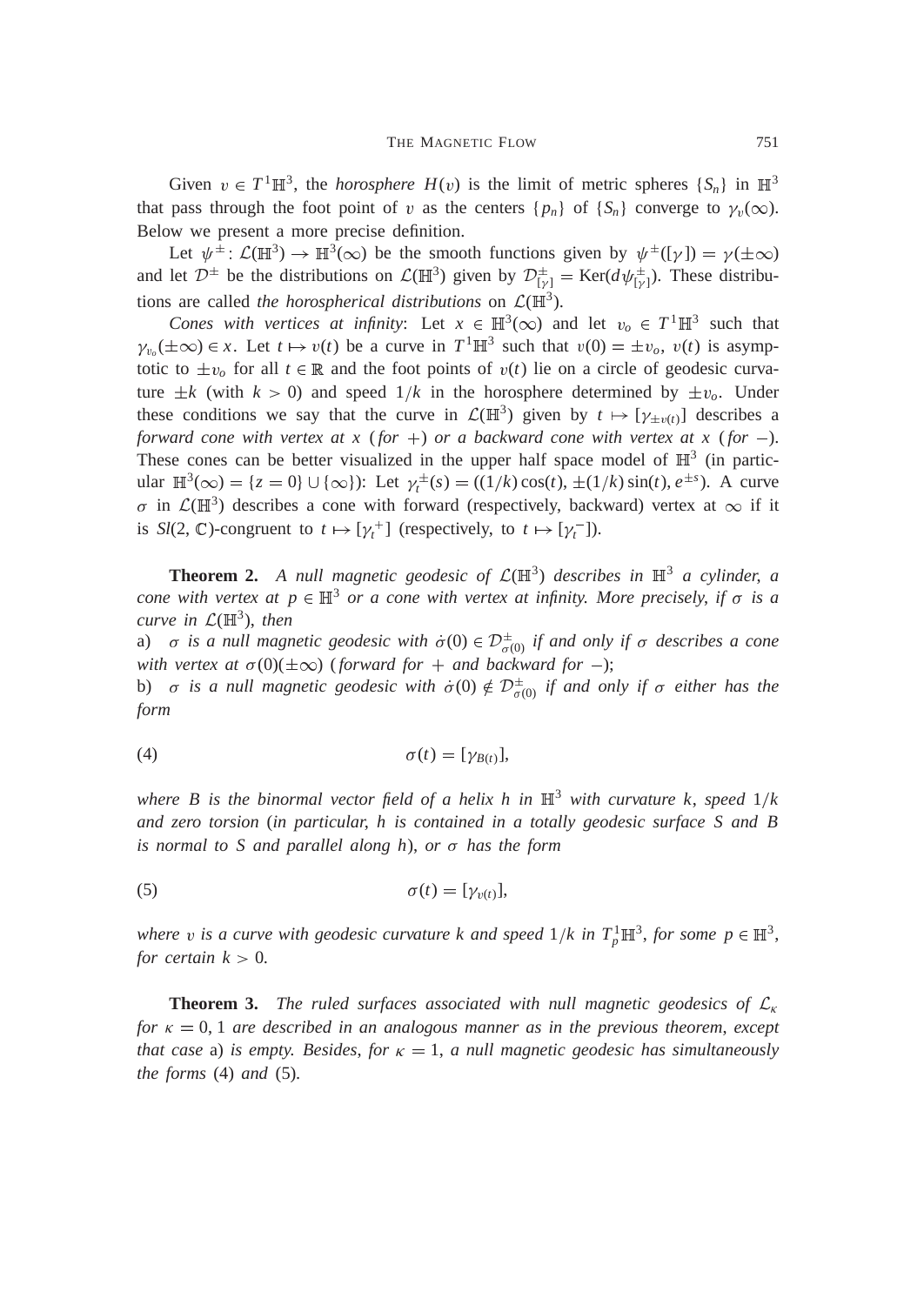Given  $v \in T^1 \mathbb{H}^3$ , the *horosphere*  $H(v)$  is the limit of metric spheres  $\{S_n\}$  in  $\mathbb{H}^3$ that pass through the foot point of v as the centers  $\{p_n\}$  of  $\{S_n\}$  converge to  $\gamma_v(\infty)$ . Below we present a more precise definition.

Let  $\psi^{\pm}$ :  $\mathcal{L}(\mathbb{H}^3) \to \mathbb{H}^3(\infty)$  be the smooth functions given by  $\psi^{\pm}([\gamma]) = \gamma(\pm \infty)$ and let  $\mathcal{D}^{\pm}$  be the distributions on  $\mathcal{L}(\mathbb{H}^3)$  given by  $\mathcal{D}^{\pm}_{[\gamma]} = \text{Ker}(d\psi^{\pm}_{[\gamma]})$ . These distributions are called *the horospherical distributions* on  $\mathcal{L}(\mathbb{H}^3)$ .

*Cones with vertices at infinity:* Let  $x \in \mathbb{H}^3(\infty)$  and let  $v_o \in T^1 \mathbb{H}^3$  such that  $\gamma_{v_o}(\pm \infty) \in x$ . Let  $t \mapsto v(t)$  be a curve in  $T^1 \mathbb{H}^3$  such that  $v(0) = \pm v_o$ ,  $v(t)$  is asymptotic to  $\pm v_o$  for all  $t \in \mathbb{R}$  and the foot points of  $v(t)$  lie on a circle of geodesic curvature  $\pm k$  (with  $k > 0$ ) and speed  $1/k$  in the horosphere determined by  $\pm v_o$ . Under these conditions we say that the curve in  $\mathcal{L}(\mathbb{H}^3)$  given by  $t \mapsto [\gamma_{\pm v(t)}]$  describes a *forward cone with vertex at x* (*for* +) *or a backward cone with vertex at x* (*for* -). These cones can be better visualized in the upper half space model of  $\mathbb{H}^3$  (in particular  $\mathbb{H}^3(\infty) = \{z = 0\} \cup \{\infty\}$ : Let  $\gamma_t^{\pm}(s) = ((1/k)\cos(t), \pm (1/k)\sin(t), e^{\pm s})$ . A curve  $\sigma$  in  $\mathcal{L}(\mathbb{H}^3)$  describes a cone with forward (respectively, backward) vertex at  $\infty$  if it is  $Sl(2, \mathbb{C})$ -congruent to  $t \mapsto [\gamma_t^+]$  (respectively, to  $t \mapsto [\gamma_t^-]$ ).

**Theorem 2.** A null magnetic geodesic of  $\mathcal{L}(\mathbb{H}^3)$  describes in  $\mathbb{H}^3$  a cylinder, a *cone with vertex at*  $p \in \mathbb{H}^3$  *or a cone with vertex at infinity. More precisely, if*  $\sigma$  *is a curve in*  $\mathcal{L}(\mathbb{H}^3)$ , *then* 

a)  $\sigma$  is a null magnetic geodesic with  $\dot{\sigma}(0) \in \mathcal{D}^{\pm}_{\sigma(0)}$  if and only if  $\sigma$  describes a cone *with vertex at*  $\sigma(0)(\pm\infty)$  (*forward for* + *and backward for* -);

b)  $\sigma$  is a null magnetic geodesic with  $\dot{\sigma}(0) \notin \mathcal{D}^{\pm}_{\sigma(0)}$  if and only if  $\sigma$  either has the *form*

$$
\sigma(t) = [\gamma_{B(t)}],
$$

*where B is the binormal vector field of a helix h in*  $\mathbb{H}^3$  *with curvature k, speed*  $1/k$ *and zero torsion* (*in particular*, *h is contained in a totally geodesic surface S and B is normal to S and parallel along h*), *or has the form*

$$
\sigma(t) = [\gamma_{v(t)}],
$$

*where* v is a curve with geodesic curvature *k* and speed  $1/k$  in  $T_p^1 \mathbb{H}^3$ , for some  $p \in \mathbb{H}^3$ , *for certain*  $k > 0$ *.* 

**Theorem 3.** *The ruled surfaces associated with null magnetic geodesics of*  $\mathcal{L}_{\kappa}$ *for*  $\kappa = 0, 1$  *are described in an analogous manner as in the previous theorem, except that case* a) *is empty. Besides, for*  $\kappa = 1$ , *a null magnetic geodesic has simultaneously the forms* (4) *and* (5)*.*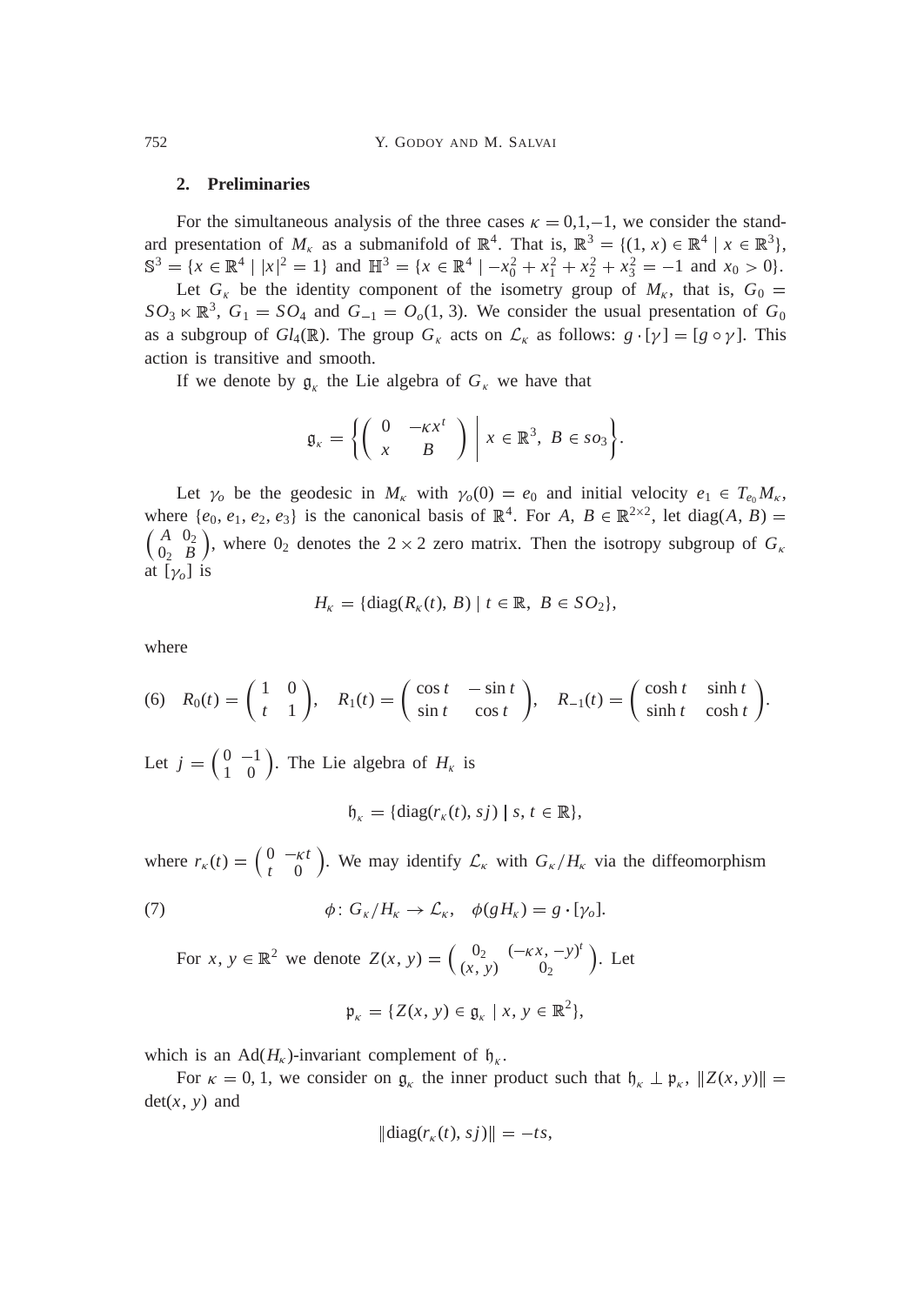752 Y. GODOY AND M. SALVAI

## **2. Preliminaries**

For the simultaneous analysis of the three cases  $\kappa = 0.1, -1$ , we consider the standard presentation of  $M_k$  as a submanifold of  $\mathbb{R}^4$ . That is,  $\mathbb{R}^3 = \{(1, x) \in \mathbb{R}^4 \mid x \in \mathbb{R}^3\}$ ,  $S^3 = \{x \in \mathbb{R}^4 \mid |x|^2 = 1\}$  and  $\mathbb{H}^3 = \{x \in \mathbb{R}^4 \mid -x_0^2 + x_1^2 + x_2^2 + x_3^2 = -1 \text{ and } x_0 > 0\}.$ 

Let  $G_k$  be the identity component of the isometry group of  $M_k$ , that is,  $G_0 =$  $SO_3 \ltimes \mathbb{R}^3$ ,  $G_1 = SO_4$  and  $G_{-1} = O_o(1, 3)$ . We consider the usual presentation of  $G_0$ as a subgroup of  $Gl_4(\mathbb{R})$ . The group  $G_k$  acts on  $\mathcal{L}_k$  as follows:  $g \cdot [\gamma] = [g \circ \gamma]$ . This action is transitive and smooth.

If we denote by  $g_k$  the Lie algebra of  $G_k$  we have that

$$
\mathfrak{g}_{\kappa} = \left\{ \left( \begin{array}{cc} 0 & -\kappa x^t \\ x & B \end{array} \right) \middle| \ x \in \mathbb{R}^3, \ B \in \mathfrak{so}_3 \right\}.
$$

Let  $\gamma_o$  be the geodesic in  $M_k$  with  $\gamma_o(0) = e_0$  and initial velocity  $e_1 \in T_{e_0}M_k$ , where  $\{e_0, e_1, e_2, e_3\}$  is the canonical basis of  $\mathbb{R}^4$ . For *A*,  $B \in \mathbb{R}^{2 \times 2}$ , let diag(*A*, *B*) =  $\int A \space 0_2$ 0<sup>2</sup> *B* ), where  $0_2$  denotes the  $2 \times 2$  zero matrix. Then the isotropy subgroup of  $G_k$ at  $[\gamma_o]$  is

$$
H_{\kappa} = {\text{diag}(R_{\kappa}(t), B) | t \in \mathbb{R}, B \in SO_2},
$$

where

(6) 
$$
R_0(t) = \begin{pmatrix} 1 & 0 \ t & 1 \end{pmatrix}
$$
,  $R_1(t) = \begin{pmatrix} \cos t & -\sin t \ \sin t & \cos t \end{pmatrix}$ ,  $R_{-1}(t) = \begin{pmatrix} \cosh t & \sinh t \ \sinh t & \cosh t \end{pmatrix}$ .

Let  $j = \begin{pmatrix} 0 & -1 \\ 1 & 0 \end{pmatrix}$ . The Lie algebra of  $H_{\kappa}$  is

$$
\mathfrak{h}_{\kappa} = \{ \mathrm{diag}(r_{\kappa}(t), s j) \mid s, t \in \mathbb{R} \},
$$

where  $r_k(t) = \begin{pmatrix} 0 & -kt \\ 1 & 0 \end{pmatrix}$ *t* 0 ). We may identify  $\mathcal{L}_{\kappa}$  with  $G_{\kappa}/H_{\kappa}$  via the diffeomorphism

(7) 
$$
\phi: G_{\kappa}/H_{\kappa} \to \mathcal{L}_{\kappa}, \quad \phi(gH_{\kappa}) = g \cdot [\gamma_o].
$$

For *x*,  $y \in \mathbb{R}^2$  we denote  $Z(x, y) = \begin{pmatrix} 0_2 & (-\kappa x, -y)^t \\ (x, y) & 0 \end{pmatrix}$  $(x, y)$  0<sub>2</sub>  $\big)$ . Let

$$
\mathfrak{p}_{\kappa} = \{ Z(x, y) \in \mathfrak{g}_{\kappa} \mid x, y \in \mathbb{R}^2 \},
$$

which is an Ad( $H_k$ )-invariant complement of  $\mathfrak{h}_k$ .

For  $\kappa = 0, 1$ , we consider on  $\mathfrak{g}_{\kappa}$  the inner product such that  $\mathfrak{h}_{\kappa} \perp \mathfrak{p}_{\kappa}$ ,  $\|Z(x, y)\|$  $det(x, y)$  and

$$
\|\operatorname{diag}(r_{\kappa}(t), s j)\| = -t s,
$$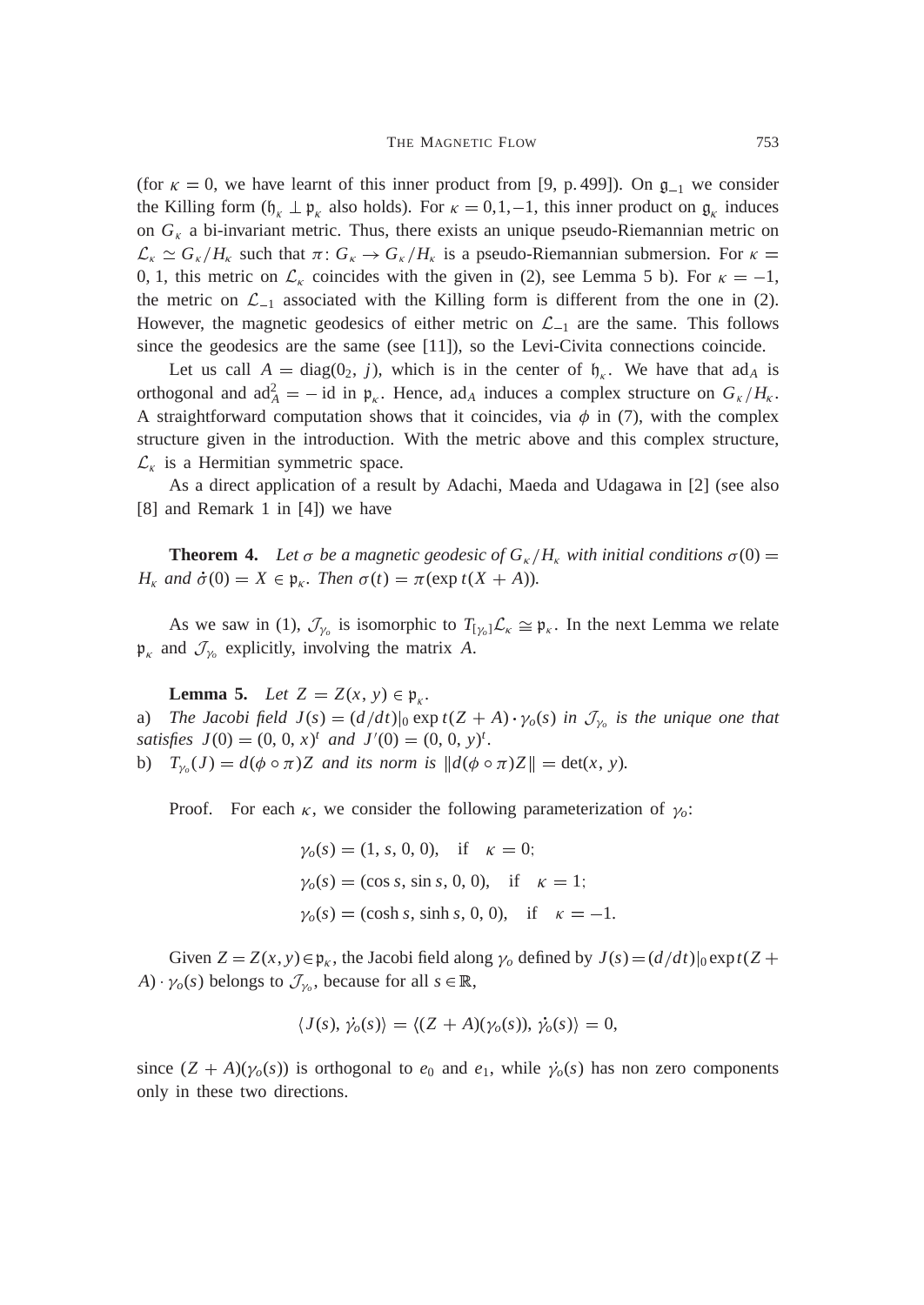(for  $\kappa = 0$ , we have learnt of this inner product from [9, p. 499]). On  $\mathfrak{g}_{-1}$  we consider the Killing form  $(\mathfrak{h}_{\kappa} \perp \mathfrak{p}_{\kappa})$  also holds). For  $\kappa = 0,1,-1$ , this inner product on  $\mathfrak{g}_{\kappa}$  induces on  $G_k$  a bi-invariant metric. Thus, there exists an unique pseudo-Riemannian metric on  $\mathcal{L}_{\kappa} \simeq G_{\kappa}/H_{\kappa}$  such that  $\pi: G_{\kappa} \to G_{\kappa}/H_{\kappa}$  is a pseudo-Riemannian submersion. For  $\kappa =$ 0, 1, this metric on  $\mathcal{L}_{\kappa}$  coincides with the given in (2), see Lemma 5 b). For  $\kappa = -1$ , the metric on  $\mathcal{L}_{-1}$  associated with the Killing form is different from the one in (2). However, the magnetic geodesics of either metric on  $\mathcal{L}_{-1}$  are the same. This follows since the geodesics are the same (see [11]), so the Levi-Civita connections coincide.

Let us call  $A = \text{diag}(0_2, j)$ , which is in the center of  $\mathfrak{h}_{k}$ . We have that ad<sub>A</sub> is orthogonal and  $ad_A^2 = -id$  in  $\mathfrak{p}_{\kappa}$ . Hence,  $ad_A$  induces a complex structure on  $G_{\kappa}/H_{\kappa}$ . A straightforward computation shows that it coincides, via  $\phi$  in (7), with the complex structure given in the introduction. With the metric above and this complex structure,  $\mathcal{L}_{\kappa}$  is a Hermitian symmetric space.

As a direct application of a result by Adachi, Maeda and Udagawa in [2] (see also [8] and Remark 1 in [4]) we have

**Theorem 4.** Let  $\sigma$  be a magnetic geodesic of  $G_{\kappa}/H_{\kappa}$  with initial conditions  $\sigma(0)$  = *H<sub>K</sub>* and  $\dot{\sigma}(0) = X \in \mathfrak{p}_k$ . Then  $\sigma(t) = \pi(\exp t(X + A))$ .

As we saw in (1),  $\mathcal{J}_{\gamma_o}$  is isomorphic to  $T_{[\gamma_o]} \mathcal{L}_{\kappa} \cong \mathfrak{p}_{\kappa}$ . In the next Lemma we relate  $\mathfrak{p}_{\kappa}$  and  $\mathcal{J}_{\gamma_o}$  explicitly, involving the matrix A.

**Lemma 5.** *Let*  $Z = Z(x, y) \in \mathfrak{p}_{k}$ . a) *The Jacobi field*  $J(s) = (d/dt)|_0 \exp t(Z + A) \cdot \gamma_o(s)$  *in*  $\mathcal{J}_{\gamma_o}$  *is the unique one that satisfies*  $J(0) = (0, 0, x)^t$  *and*  $J'(0) = (0, 0, y)^t$ .

b)  $T_{\gamma_o}(J) = d(\phi \circ \pi)Z$  and its norm is  $||d(\phi \circ \pi)Z|| = \det(x, y)$ .

Proof. For each  $\kappa$ , we consider the following parameterization of  $\gamma_o$ :

$$
\gamma_o(s) = (1, s, 0, 0), \text{ if } \kappa = 0;
$$
  
\n $\gamma_o(s) = (\cos s, \sin s, 0, 0), \text{ if } \kappa = 1;$   
\n $\gamma_o(s) = (\cosh s, \sinh s, 0, 0), \text{ if } \kappa = -1.$ 

Given  $Z = Z(x, y) \in \mathfrak{p}_k$ , the Jacobi field along  $\gamma_o$  defined by  $J(s) = (d/dt)|_0 \exp(tZ +$  $A) \cdot \gamma_o(s)$  belongs to  $\mathcal{J}_{\gamma_o}$ , because for all  $s \in \mathbb{R}$ ,

$$
\langle J(s), \dot{\gamma_0}(s) \rangle = \langle (Z + A)(\gamma_0(s)), \dot{\gamma_0}(s) \rangle = 0,
$$

since  $(Z + A)(\gamma_o(s))$  is orthogonal to  $e_0$  and  $e_1$ , while  $\dot{\gamma}_o(s)$  has non zero components only in these two directions.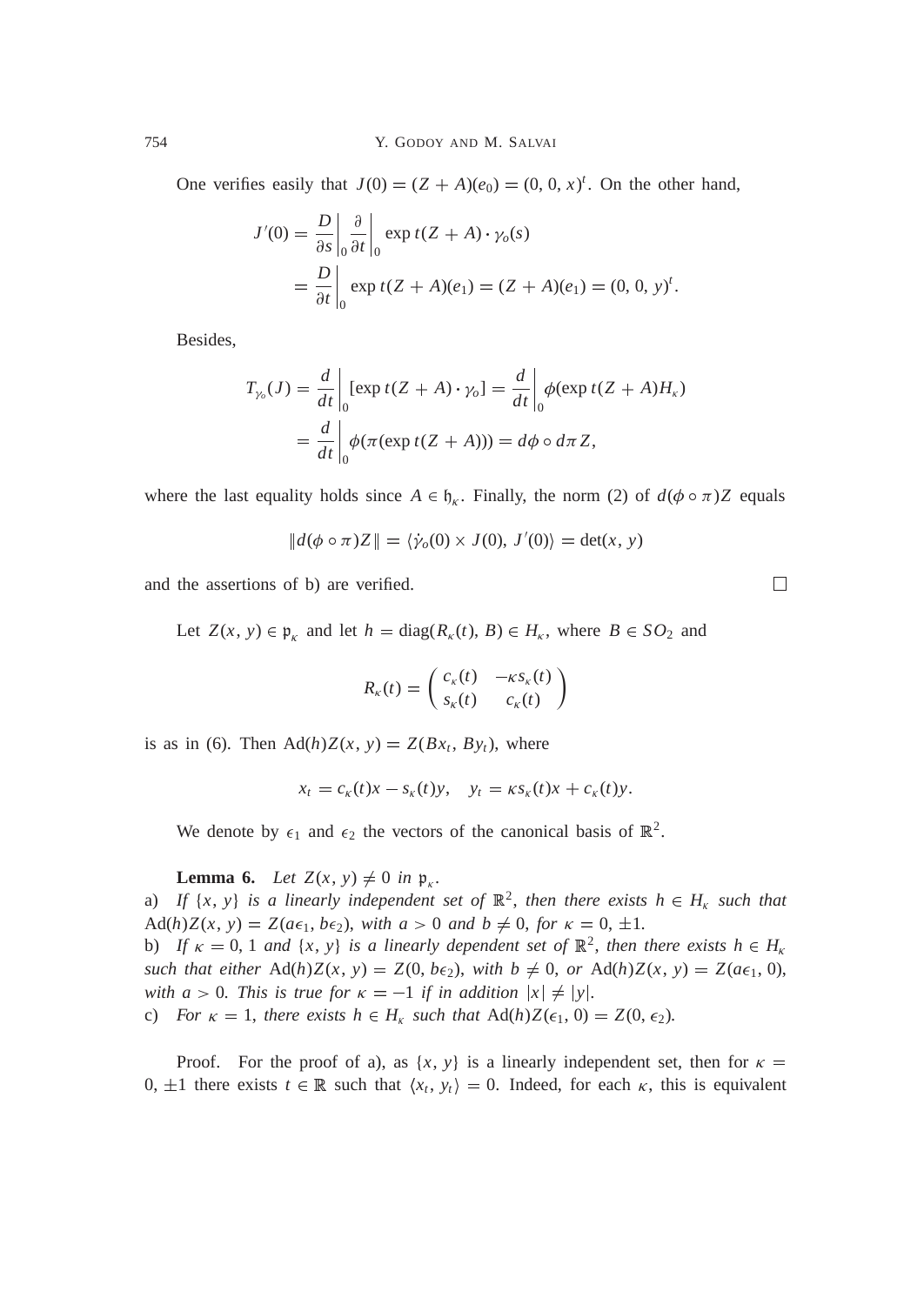One verifies easily that  $J(0) = (Z + A)(e_0) = (0, 0, x)^t$ . On the other hand,

$$
J'(0) = \frac{D}{\partial s} \Big|_0 \frac{\partial}{\partial t} \Big|_0 \exp t(Z + A) \cdot \gamma_o(s)
$$
  
= 
$$
\frac{D}{\partial t} \Big|_0 \exp t(Z + A)(e_1) = (Z + A)(e_1) = (0, 0, y)^t.
$$

Besides,

$$
T_{\gamma_o}(J) = \frac{d}{dt}\Big|_0 [\exp t(Z + A) \cdot \gamma_o] = \frac{d}{dt}\Big|_0 \phi(\exp t(Z + A)H_\kappa)
$$
  
= 
$$
\frac{d}{dt}\Big|_0 \phi(\pi(\exp t(Z + A))) = d\phi \circ d\pi Z,
$$

where the last equality holds since  $A \in \mathfrak{h}_{\kappa}$ . Finally, the norm (2) of  $d(\phi \circ \pi)Z$  equals

$$
||d(\phi \circ \pi)Z|| = \langle \dot{\gamma}_o(0) \times J(0), J'(0) \rangle = \det(x, y)
$$

and the assertions of b) are verified.

Let  $Z(x, y) \in \mathfrak{p}_k$  and let  $h = \text{diag}(R_k(t), B) \in H_k$ , where  $B \in SO_2$  and

$$
R_{\kappa}(t) = \begin{pmatrix} c_{\kappa}(t) & -\kappa s_{\kappa}(t) \\ s_{\kappa}(t) & c_{\kappa}(t) \end{pmatrix}
$$

is as in (6). Then  $\text{Ad}(h)Z(x, y) = Z(Bx_t, By_t)$ , where

$$
x_t = c_{\kappa}(t)x - s_{\kappa}(t)y, \quad y_t = \kappa s_{\kappa}(t)x + c_{\kappa}(t)y.
$$

We denote by  $\epsilon_1$  and  $\epsilon_2$  the vectors of the canonical basis of  $\mathbb{R}^2$ .

**Lemma 6.** *Let*  $Z(x, y) \neq 0$  *in*  $\mathfrak{p}_k$ .

a) If  $\{x, y\}$  is a linearly independent set of  $\mathbb{R}^2$ , then there exists  $h \in H_{\kappa}$  such that  $\text{Ad}(h)Z(x, y) = Z(a\epsilon_1, b\epsilon_2)$ , with  $a > 0$  and  $b \neq 0$ , for  $\kappa = 0, \pm 1$ .

b) If  $\kappa = 0, 1$  and  $\{x, y\}$  is a linearly dependent set of  $\mathbb{R}^2$ , then there exists  $h \in H_{\kappa}$ *such that either*  $\text{Ad}(h)Z(x, y) = Z(0, b\epsilon_2)$ , *with*  $b \neq 0$ , *or*  $\text{Ad}(h)Z(x, y) = Z(a\epsilon_1, 0)$ , *with a* > 0*. This is true for*  $\kappa = -1$  *if in addition*  $|x| \neq |y|$ *.* 

c) *For*  $\kappa = 1$ *, there exists h*  $\in$  *H<sub>k</sub> such that* Ad(*h*)*Z*( $\epsilon_1$ , 0) = *Z*(0,  $\epsilon_2$ )*.* 

Proof. For the proof of a), as  $\{x, y\}$  is a linearly independent set, then for  $\kappa =$  $0, \pm 1$  there exists  $t \in \mathbb{R}$  such that  $\langle x_t, y_t \rangle = 0$ . Indeed, for each  $\kappa$ , this is equivalent

 $\Box$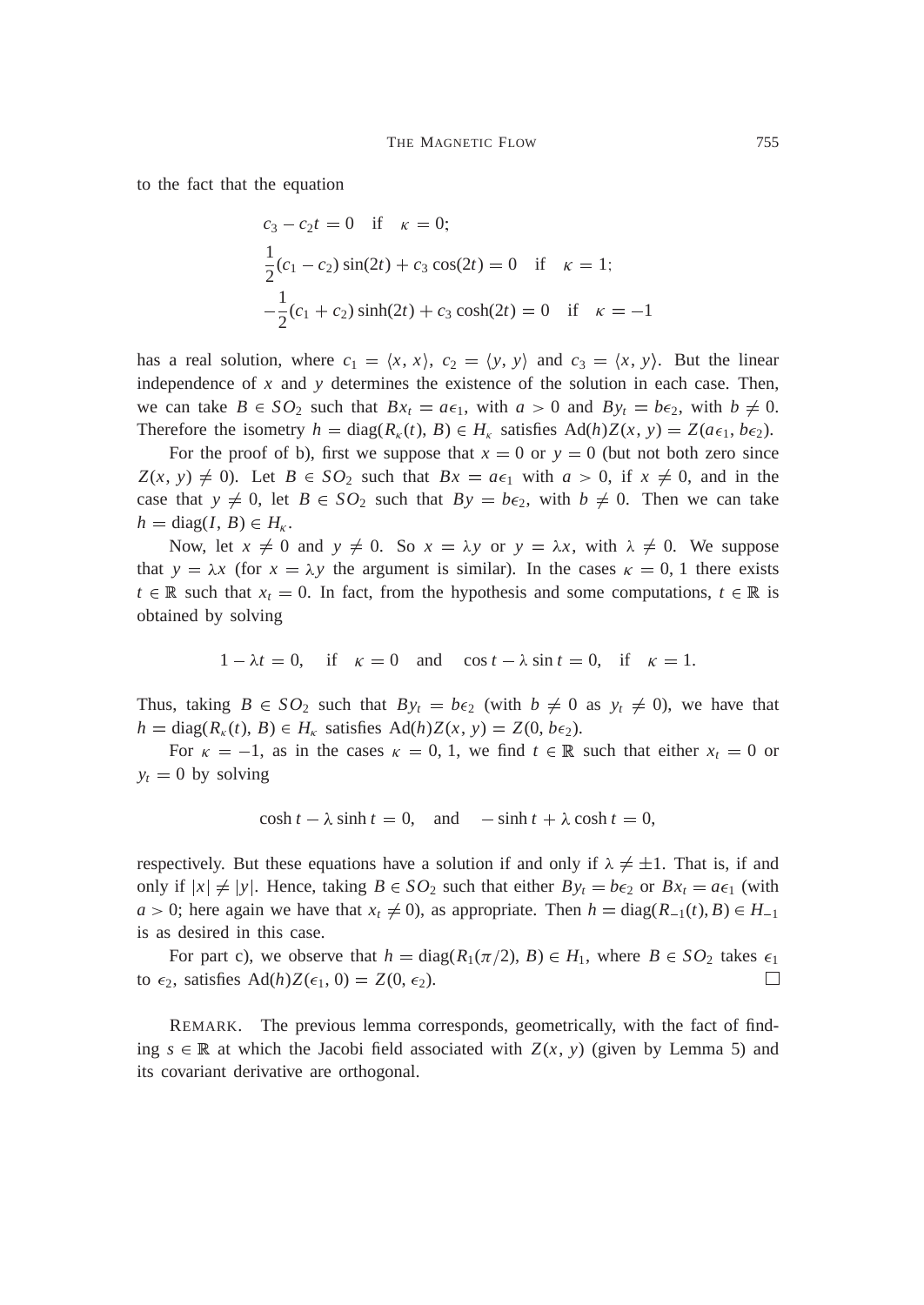to the fact that the equation

$$
c_3 - c_2 t = 0 \quad \text{if} \quad \kappa = 0;
$$
  
\n
$$
\frac{1}{2}(c_1 - c_2) \sin(2t) + c_3 \cos(2t) = 0 \quad \text{if} \quad \kappa = 1;
$$
  
\n
$$
-\frac{1}{2}(c_1 + c_2) \sinh(2t) + c_3 \cosh(2t) = 0 \quad \text{if} \quad \kappa = -1
$$

has a real solution, where  $c_1 = \langle x, x \rangle$ ,  $c_2 = \langle y, y \rangle$  and  $c_3 = \langle x, y \rangle$ . But the linear independence of *x* and *y* determines the existence of the solution in each case. Then, we can take  $B \in SO_2$  such that  $Bx_t = a\epsilon_1$ , with  $a > 0$  and  $By_t = b\epsilon_2$ , with  $b \neq 0$ . Therefore the isometry  $h = \text{diag}(R_{\kappa}(t), B) \in H_{\kappa}$  satisfies  $\text{Ad}(h)Z(x, y) = Z(a\epsilon_1, b\epsilon_2)$ .

For the proof of b), first we suppose that  $x = 0$  or  $y = 0$  (but not both zero since  $Z(x, y) \neq 0$ . Let  $B \in SO_2$  such that  $Bx = a\epsilon_1$  with  $a > 0$ , if  $x \neq 0$ , and in the case that  $y \neq 0$ , let  $B \in SO_2$  such that  $By = b\epsilon_2$ , with  $b \neq 0$ . Then we can take  $h = \text{diag}(I, B) \in H_{\kappa}$ .

Now, let  $x \neq 0$  and  $y \neq 0$ . So  $x = \lambda y$  or  $y = \lambda x$ , with  $\lambda \neq 0$ . We suppose that  $y = \lambda x$  (for  $x = \lambda y$  the argument is similar). In the cases  $\kappa = 0, 1$  there exists  $t \in \mathbb{R}$  such that  $x_t = 0$ . In fact, from the hypothesis and some computations,  $t \in \mathbb{R}$  is obtained by solving

$$
1 - \lambda t = 0
$$
, if  $\kappa = 0$  and  $\cos t - \lambda \sin t = 0$ , if  $\kappa = 1$ .

Thus, taking  $B \in SO_2$  such that  $By_t = be_2$  (with  $b \neq 0$  as  $y_t \neq 0$ ), we have that  $h = \text{diag}(R_{\kappa}(t), B) \in H_{\kappa}$  satisfies  $\text{Ad}(h)Z(x, y) = Z(0, b\epsilon_2).$ 

For  $\kappa = -1$ , as in the cases  $\kappa = 0, 1$ , we find  $t \in \mathbb{R}$  such that either  $x_t = 0$  or  $y_t = 0$  by solving

$$
\cosh t - \lambda \sinh t = 0, \quad \text{and} \quad -\sinh t + \lambda \cosh t = 0,
$$

respectively. But these equations have a solution if and only if  $\lambda \neq \pm 1$ . That is, if and only if  $|x| \neq |y|$ . Hence, taking  $B \in SO_2$  such that either  $By_t = b\epsilon_2$  or  $Bx_t = a\epsilon_1$  (with  $a > 0$ ; here again we have that  $x_t \neq 0$ , as appropriate. Then  $h = diag(R_{-1}(t), B) \in H_{-1}$ is as desired in this case.

For part c), we observe that  $h = diag(R_1(\pi/2), B) \in H_1$ , where  $B \in SO_2$  takes  $\epsilon_1$ to  $\epsilon_2$ , satisfies  $\text{Ad}(h)Z(\epsilon_1, 0) = Z(0, \epsilon_2)$ .  $\Box$ 

REMARK. The previous lemma corresponds, geometrically, with the fact of finding  $s \in \mathbb{R}$  at which the Jacobi field associated with  $Z(x, y)$  (given by Lemma 5) and its covariant derivative are orthogonal.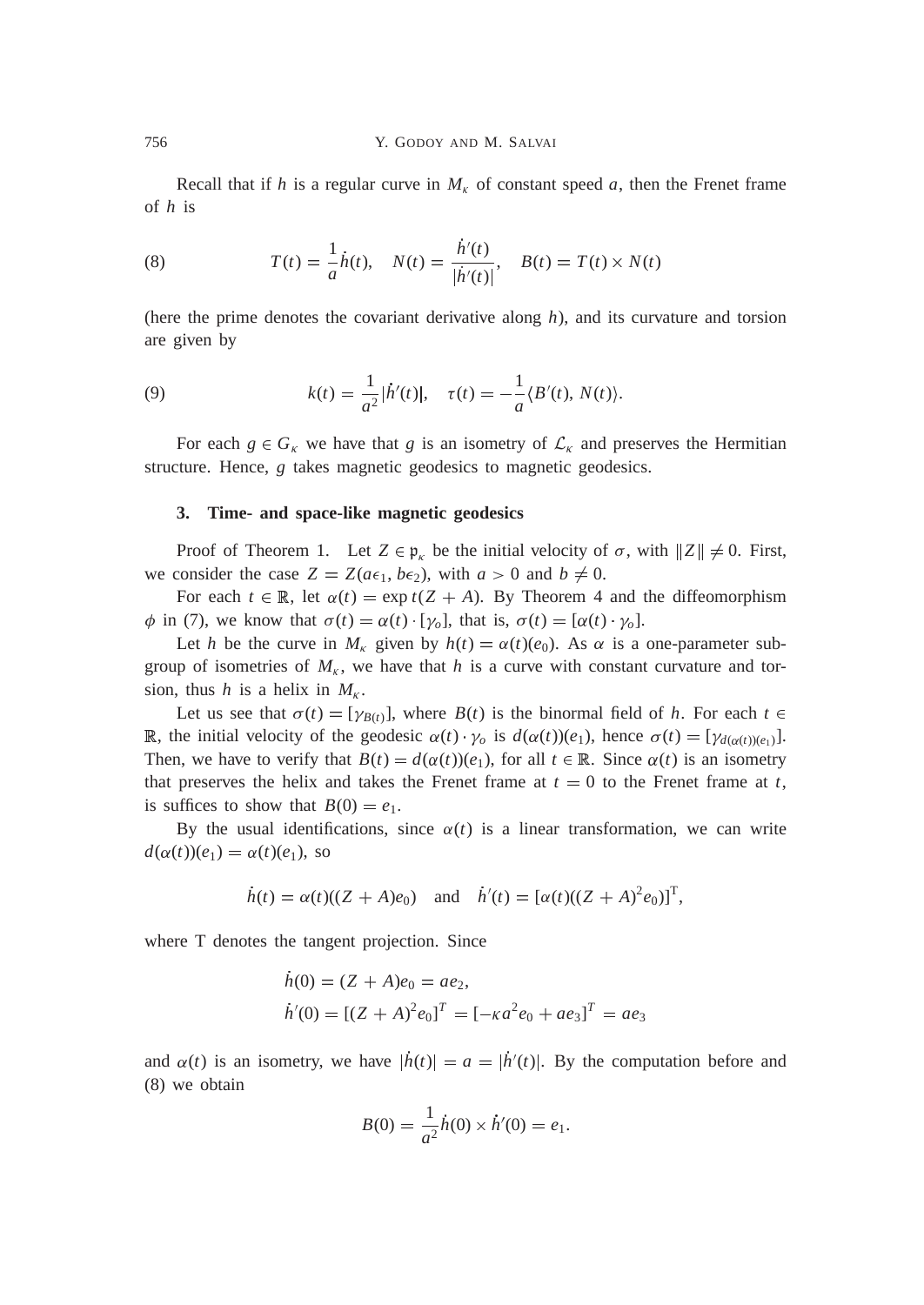Recall that if *h* is a regular curve in  $M_k$  of constant speed *a*, then the Frenet frame of *h* is

(8) 
$$
T(t) = \frac{1}{a}\dot{h}(t), \quad N(t) = \frac{\dot{h}'(t)}{|\dot{h}'(t)|}, \quad B(t) = T(t) \times N(t)
$$

(here the prime denotes the covariant derivative along *h*), and its curvature and torsion are given by

(9) 
$$
k(t) = \frac{1}{a^2} |\dot{h}'(t)|, \quad \tau(t) = -\frac{1}{a} \langle B'(t), N(t) \rangle.
$$

For each  $g \in G_{\kappa}$  we have that *g* is an isometry of  $\mathcal{L}_{\kappa}$  and preserves the Hermitian structure. Hence, *g* takes magnetic geodesics to magnetic geodesics.

## **3. Time- and space-like magnetic geodesics**

Proof of Theorem 1. Let  $Z \in \mathfrak{p}_k$  be the initial velocity of  $\sigma$ , with  $||Z|| \neq 0$ . First, we consider the case  $Z = Z(a\epsilon_1, b\epsilon_2)$ , with  $a > 0$  and  $b \neq 0$ .

For each  $t \in \mathbb{R}$ , let  $\alpha(t) = \exp t(Z + A)$ . By Theorem 4 and the diffeomorphism  $\phi$  in (7), we know that  $\sigma(t) = \alpha(t) \cdot [\gamma_o]$ , that is,  $\sigma(t) = [\alpha(t) \cdot \gamma_o]$ .

Let *h* be the curve in  $M_k$  given by  $h(t) = \alpha(t)(e_0)$ . As  $\alpha$  is a one-parameter subgroup of isometries of  $M_k$ , we have that h is a curve with constant curvature and torsion, thus *h* is a helix in  $M_k$ .

Let us see that  $\sigma(t) = [\gamma_{B(t)}]$ , where  $B(t)$  is the binormal field of *h*. For each  $t \in$ R, the initial velocity of the geodesic  $\alpha(t) \cdot \gamma_o$  is  $d(\alpha(t))(e_1)$ , hence  $\sigma(t) = [\gamma_{d(\alpha(t))(e_1)}]$ . Then, we have to verify that  $B(t) = d(\alpha(t))(e_1)$ , for all  $t \in \mathbb{R}$ . Since  $\alpha(t)$  is an isometry that preserves the helix and takes the Frenet frame at  $t = 0$  to the Frenet frame at  $t$ , is suffices to show that  $B(0) = e_1$ .

By the usual identifications, since  $\alpha(t)$  is a linear transformation, we can write  $d(\alpha(t))(e_1) = \alpha(t)(e_1)$ , so

$$
\dot{h}(t) = \alpha(t)((Z + A)e_0)
$$
 and  $\dot{h}'(t) = [\alpha(t)((Z + A)^2 e_0)]^T$ ,

where T denotes the tangent projection. Since

$$
h(0) = (Z + A)e_0 = ae_2,
$$
  
\n
$$
h'(0) = [(Z + A)^2 e_0]^T = [-\kappa a^2 e_0 + ae_3]^T = ae_3
$$

and  $\alpha(t)$  is an isometry, we have  $|h(t)| = a = |h'(t)|$ . By the computation before and (8) we obtain

$$
B(0) = \frac{1}{a^2} \dot{h}(0) \times \dot{h}'(0) = e_1.
$$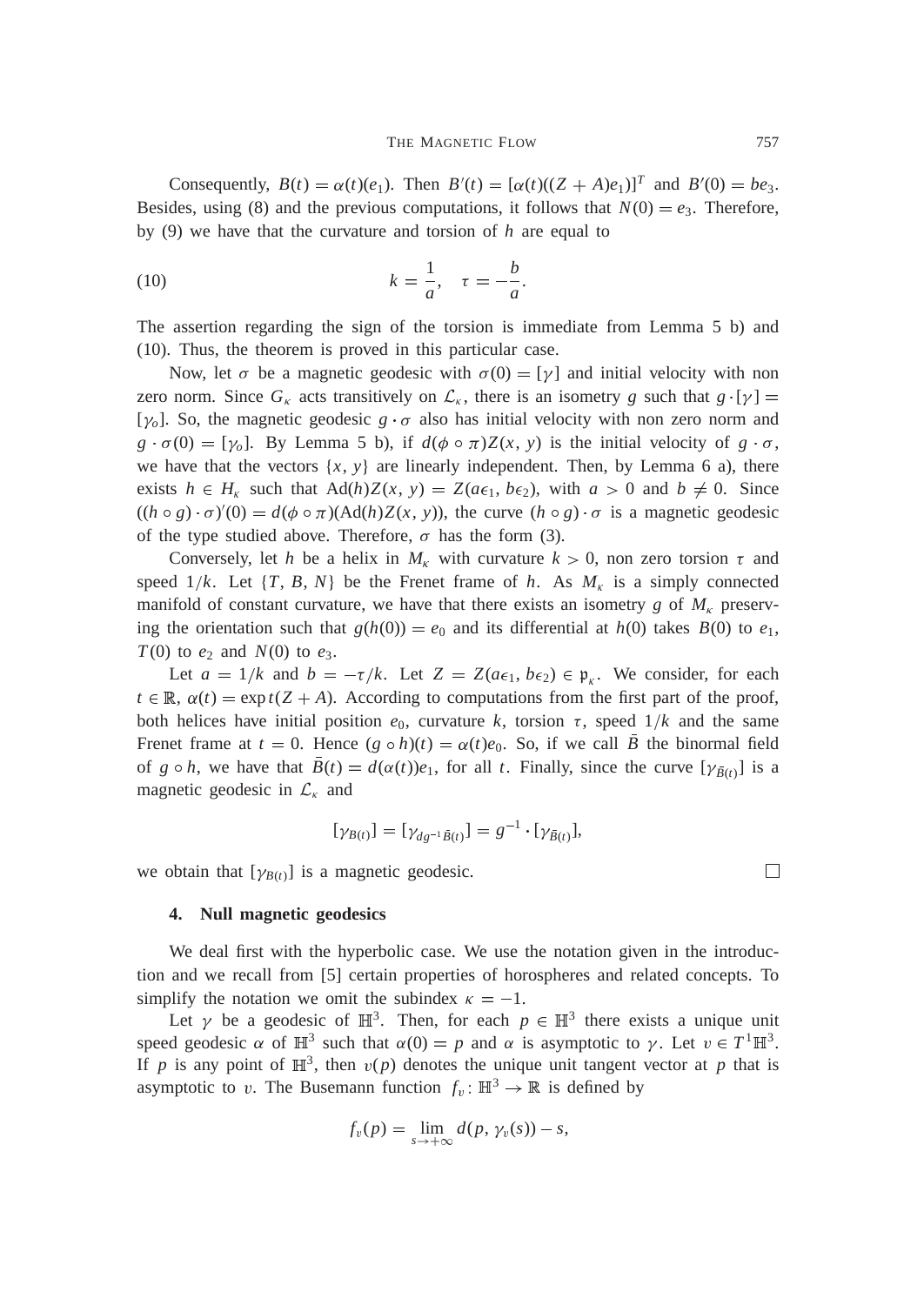#### THE MAGNETIC FLOW 757

Consequently,  $B(t) = \alpha(t)(e_1)$ . Then  $B'(t) = [\alpha(t)((Z + A)e_1)]^T$  and  $B'(0) = be_3$ . Besides, using (8) and the previous computations, it follows that  $N(0) = e_3$ . Therefore, by (9) we have that the curvature and torsion of *h* are equal to

(10) 
$$
k = \frac{1}{a}, \quad \tau = -\frac{b}{a}.
$$

The assertion regarding the sign of the torsion is immediate from Lemma 5 b) and (10). Thus, the theorem is proved in this particular case.

Now, let  $\sigma$  be a magnetic geodesic with  $\sigma(0) = [\gamma]$  and initial velocity with non zero norm. Since  $G_k$  acts transitively on  $\mathcal{L}_k$ , there is an isometry *g* such that  $g \cdot [\gamma] =$ [ $\gamma$ <sub>o</sub>]. So, the magnetic geodesic  $g \cdot \sigma$  also has initial velocity with non zero norm and  $g \cdot \sigma(0) = [\gamma_o]$ . By Lemma 5 b), if  $d(\phi \circ \pi)Z(x, y)$  is the initial velocity of  $g \cdot \sigma$ , we have that the vectors  $\{x, y\}$  are linearly independent. Then, by Lemma 6 a), there exists  $h \in H_{\kappa}$  such that  $\text{Ad}(h)Z(x, y) = Z(a\epsilon_1, b\epsilon_2)$ , with  $a > 0$  and  $b \neq 0$ . Since  $((h \circ g) \cdot \sigma)'(0) = d(\phi \circ \pi)(\text{Ad}(h)Z(x, y))$ , the curve  $(h \circ g) \cdot \sigma$  is a magnetic geodesic of the type studied above. Therefore,  $\sigma$  has the form (3).

Conversely, let *h* be a helix in  $M_k$  with curvature  $k > 0$ , non zero torsion  $\tau$  and speed  $1/k$ . Let  $\{T, B, N\}$  be the Frenet frame of *h*. As  $M_k$  is a simply connected manifold of constant curvature, we have that there exists an isometry *g* of  $M_k$  preserving the orientation such that  $g(h(0)) = e_0$  and its differential at  $h(0)$  takes  $B(0)$  to  $e_1$ , *T*(0) to  $e_2$  and *N*(0) to  $e_3$ .

Let  $a = 1/k$  and  $b = -\tau/k$ . Let  $Z = Z(a\epsilon_1, b\epsilon_2) \in \mathfrak{p}_{\kappa}$ . We consider, for each  $t \in \mathbb{R}$ ,  $\alpha(t) = \exp(t(Z + A))$ . According to computations from the first part of the proof, both helices have initial position  $e_0$ , curvature *k*, torsion  $\tau$ , speed  $1/k$  and the same Frenet frame at  $t = 0$ . Hence  $(g \circ h)(t) = \alpha(t)e_0$ . So, if we call *B* the binormal field of  $g \circ h$ , we have that  $B(t) = d(\alpha(t))e_1$ , for all *t*. Finally, since the curve  $[\gamma_{\bar{B}(t)}]$  is a magnetic geodesic in  $\mathcal{L}_{\kappa}$  and

$$
[\gamma_{B(t)}] = [\gamma_{dg^{-1}\bar{B}(t)}] = g^{-1} \cdot [\gamma_{\bar{B}(t)}],
$$

we obtain that  $[\gamma_{B(t)}]$  is a magnetic geodesic.

## **4. Null magnetic geodesics**

We deal first with the hyperbolic case. We use the notation given in the introduction and we recall from [5] certain properties of horospheres and related concepts. To simplify the notation we omit the subindex  $\kappa = -1$ .

Let  $\gamma$  be a geodesic of  $\mathbb{H}^3$ . Then, for each  $p \in \mathbb{H}^3$  there exists a unique unit speed geodesic  $\alpha$  of  $\mathbb{H}^3$  such that  $\alpha(0) = p$  and  $\alpha$  is asymptotic to  $\gamma$ . Let  $v \in T^1 \mathbb{H}^3$ . If p is any point of  $\mathbb{H}^3$ , then  $v(p)$  denotes the unique unit tangent vector at p that is asymptotic to v. The Busemann function  $f_v : \mathbb{H}^3 \to \mathbb{R}$  is defined by

$$
f_v(p) = \lim_{s \to +\infty} d(p, \gamma_v(s)) - s,
$$

 $\Box$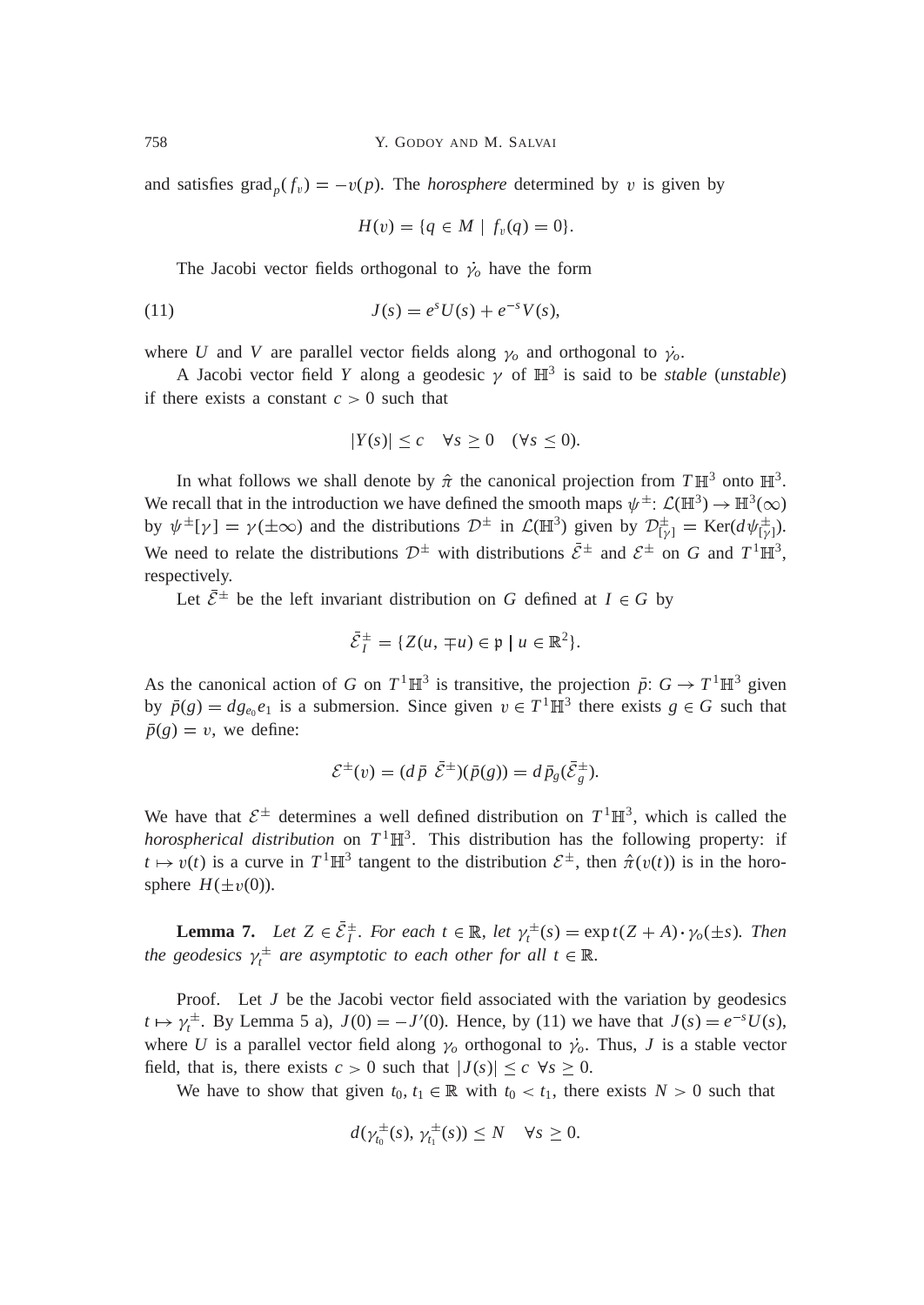and satisfies  $\text{grad}_p(f_v) = -v(p)$ . The *horosphere* determined by v is given by

$$
H(v) = \{q \in M \mid f_v(q) = 0\}.
$$

The Jacobi vector fields orthogonal to  $\dot{\gamma}_o$  have the form

(11) 
$$
J(s) = e^s U(s) + e^{-s} V(s),
$$

where *U* and *V* are parallel vector fields along  $\gamma_o$  and orthogonal to  $\dot{\gamma}_o$ .

A Jacobi vector field Y along a geodesic  $\gamma$  of  $\mathbb{H}^3$  is said to be *stable* (*unstable*) if there exists a constant  $c > 0$  such that

$$
|Y(s)| \leq c \quad \forall s \geq 0 \quad (\forall s \leq 0).
$$

In what follows we shall denote by  $\hat{\pi}$  the canonical projection from  $T\mathbb{H}^3$  onto  $\mathbb{H}^3$ . We recall that in the introduction we have defined the smooth maps  $\psi^{\pm}$ :  $\mathcal{L}(\mathbb{H}^3) \to \mathbb{H}^3(\infty)$ by  $\psi^{\pm}[\gamma] = \gamma(\pm \infty)$  and the distributions  $\mathcal{D}^{\pm}$  in  $\mathcal{L}(\mathbb{H}^3)$  given by  $\mathcal{D}_{[\gamma]}^{\pm} = \text{Ker}(d\psi_{[\gamma]}^{\pm})$ . We need to relate the distributions  $\mathcal{D}^{\pm}$  with distributions  $\bar{\mathcal{E}}^{\pm}$  and  $\mathcal{E}^{\pm}$  on *G* and  $T^1\mathbb{H}^3$ , respectively.

Let  $\bar{\mathcal{E}}^{\pm}$  be the left invariant distribution on *G* defined at  $I \in G$  by

$$
\bar{\mathcal{E}}_I^{\pm} = \{ Z(u, \mp u) \in \mathfrak{p} \mid u \in \mathbb{R}^2 \}.
$$

As the canonical action of *G* on  $T^1 \mathbb{H}^3$  is transitive, the projection  $\bar{p}: G \to T^1 \mathbb{H}^3$  given by  $\bar{p}(g) = dg_{e_0}e_1$  is a submersion. Since given  $v \in T^1 \mathbb{H}^3$  there exists  $g \in G$  such that  $\bar{p}(g) = v$ , we define:

$$
\mathcal{E}^{\pm}(v) = (d\overline{p} \ \overline{\mathcal{E}}^{\pm})(\overline{p}(g)) = d\overline{p}_g(\overline{\mathcal{E}}_g^{\pm}).
$$

We have that  $\mathcal{E}^{\pm}$  determines a well defined distribution on  $T^1 \mathbb{H}^3$ , which is called the *horospherical distribution* on  $T^1 \mathbb{H}^3$ . This distribution has the following property: if  $t \mapsto v(t)$  is a curve in  $T^1 \mathbb{H}^3$  tangent to the distribution  $\mathcal{E}^{\pm}$ , then  $\hat{\pi}(v(t))$  is in the horosphere  $H(\pm v(0))$ .

**Lemma 7.** Let  $Z \in \overline{\mathcal{E}}_I^{\pm}$ . For each  $t \in \mathbb{R}$ , let  $\gamma_t^{\pm}(s) = \exp t(Z + A) \cdot \gamma_o(\pm s)$ . Then the geodesics  $\gamma_t^{\pm}$  are asymptotic to each other for all  $t \in \mathbb{R}$ .

Proof. Let *J* be the Jacobi vector field associated with the variation by geodesics  $t \mapsto \gamma_t^{\pm}$ . By Lemma 5 a),  $J(0) = -J'(0)$ . Hence, by (11) we have that  $J(s) = e^{-s}U(s)$ , where U is a parallel vector field along  $\gamma_o$  orthogonal to  $\gamma_o$ . Thus, J is a stable vector field, that is, there exists  $c > 0$  such that  $|J(s)| \leq c \ \forall s \geq 0$ .

We have to show that given  $t_0, t_1 \in \mathbb{R}$  with  $t_0 < t_1$ , there exists  $N > 0$  such that

$$
d(\gamma_{t_0}^{\pm}(s), \gamma_{t_1}^{\pm}(s)) \leq N \quad \forall s \geq 0.
$$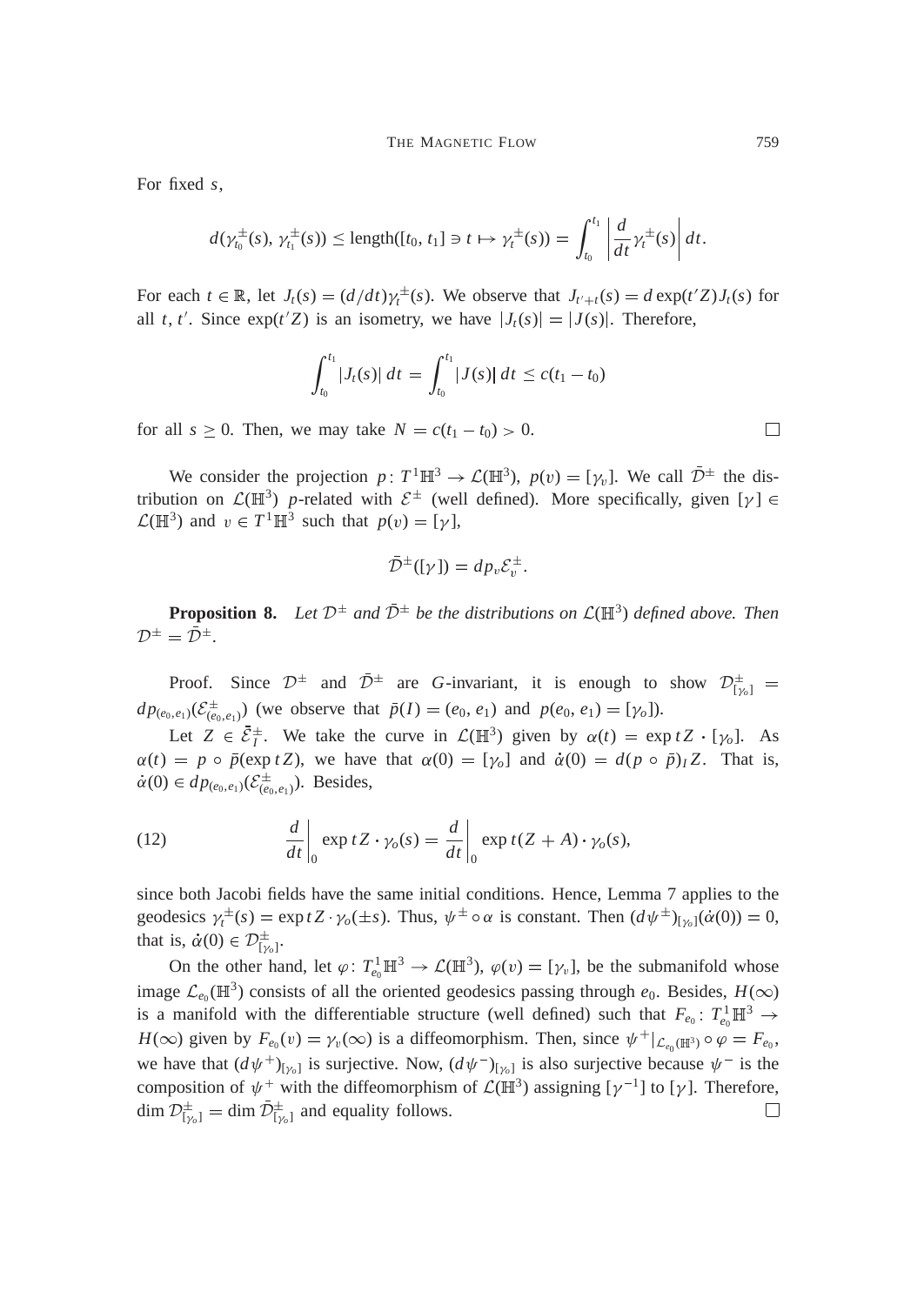For fixed *s*,

$$
d(\gamma_{t_0}^{\pm}(s),\,\gamma_{t_1}^{\pm}(s))\leq \text{length}([t_0,\,t_1]\ni t\mapsto \gamma_t^{\pm}(s))=\int_{t_0}^{t_1}\left|\frac{d}{dt}\gamma_t^{\pm}(s)\right|dt.
$$

For each  $t \in \mathbb{R}$ , let  $J_t(s) = \left(\frac{d}{dt}\right) \gamma_t^{\pm}(s)$ . We observe that  $J_{t'+t}(s) = d \exp(t'Z)J_t(s)$  for all *t*, *t'*. Since  $exp(t'Z)$  is an isometry, we have  $|J_t(s)| = |J(s)|$ . Therefore,

$$
\int_{t_0}^{t_1} |J_t(s)| \, dt = \int_{t_0}^{t_1} |J(s)| \, dt \leq c(t_1 - t_0)
$$

for all  $s \geq 0$ . Then, we may take  $N = c(t_1 - t_0) > 0$ .

We consider the projection  $p: T^1 \mathbb{H}^3 \to \mathcal{L}(\mathbb{H}^3)$ ,  $p(v) = [\gamma_v]$ . We call  $\overline{\mathcal{D}}^{\pm}$  the distribution on  $\mathcal{L}(\mathbb{H}^3)$  p-related with  $\mathcal{E}^{\pm}$  (well defined). More specifically, given [ $\gamma$ ]  $\in$  $\mathcal{L}(\mathbb{H}^3)$  and  $v \in T^1 \mathbb{H}^3$  such that  $p(v) = [\gamma]$ ,

$$
\overline{\mathcal{D}}^{\pm}([\gamma]) = dp_v \mathcal{E}_v^{\pm}.
$$

**Proposition 8.** Let  $\mathcal{D}^{\pm}$  and  $\overline{\mathcal{D}}^{\pm}$  be the distributions on  $\mathcal{L}(\mathbb{H}^3)$  defined above. Then  $\mathcal{D}^{\pm} = \bar{\mathcal{D}}^{\pm}.$ 

Proof. Since  $\mathcal{D}^{\pm}$  and  $\bar{\mathcal{D}}^{\pm}$  are *G*-invariant, it is enough to show  $\mathcal{D}^{\pm}_{[\gamma_{o}]}$  =  $dp_{(e_0, e_1)}(\mathcal{E}_{(e_0, e_1)}^{\pm})$  (we observe that  $\bar{p}(I) = (e_0, e_1)$  and  $p(e_0, e_1) = [\gamma_o]$ ).

Let  $Z \in \bar{\mathcal{E}}_I^{\pm}$ . We take the curve in  $\mathcal{L}(\mathbb{H}^3)$  given by  $\alpha(t) = \exp t Z \cdot [\gamma_o]$ . As  $\alpha(t) = p \circ \bar{p}(\exp tZ)$ , we have that  $\alpha(0) = [\gamma_o]$  and  $\dot{\alpha}(0) = d(p \circ \bar{p})_I Z$ . That is,  $\dot{\alpha}(0) \in dp_{(e_0, e_1)}(\mathcal{E}_{(e_0, e_1)}^{\pm})$ . Besides,

(12) 
$$
\frac{d}{dt}\bigg|_0 \exp tZ \cdot \gamma_o(s) = \frac{d}{dt}\bigg|_0 \exp t(Z+A) \cdot \gamma_o(s),
$$

since both Jacobi fields have the same initial conditions. Hence, Lemma 7 applies to the geodesics  $\gamma_t^{\pm}(s) = \exp tZ \cdot \gamma_o(\pm s)$ . Thus,  $\psi^{\pm} \circ \alpha$  is constant. Then  $(d\psi^{\pm})_{[\gamma_o]}(\alpha(0)) = 0$ , that is,  $\dot{\alpha}(0) \in \mathcal{D}^{\pm}_{[\gamma_0]}$ .

On the other hand, let  $\varphi: T^1_{e_0} \mathbb{H}^3 \to \mathcal{L}(\mathbb{H}^3)$ ,  $\varphi(v) = [\gamma_v]$ , be the submanifold whose image  $\mathcal{L}_{e_0}(\mathbb{H}^3)$  consists of all the oriented geodesics passing through  $e_0$ . Besides,  $H(\infty)$ is a manifold with the differentiable structure (well defined) such that  $F_{e_0}$ :  $T_{e_0}^1 \mathbb{H}^3 \to$  $H(\infty)$  given by  $F_{e_0}(v) = \gamma_v(\infty)$  is a diffeomorphism. Then, since  $\psi^+|_{\mathcal{L}_{e_0}(\mathbb{H}^3)} \circ \varphi = F_{e_0}$ , we have that  $(d\psi^+)_{[\gamma_0]}$  is surjective. Now,  $(d\psi^-)_{[\gamma_0]}$  is also surjective because  $\psi^-$  is the composition of  $\psi^+$  with the diffeomorphism of  $\mathcal{L}(\mathbb{H}^3)$  assigning  $[\gamma^{-1}]$  to  $[\gamma]$ . Therefore,  $\dim \mathcal{D}_{\lbrack \gamma_o \rbrack}^{\pm} = \dim \bar{\mathcal{D}}_{\lbrack \gamma_o \rbrack}^{\pm}$  and equality follows. П

 $\Box$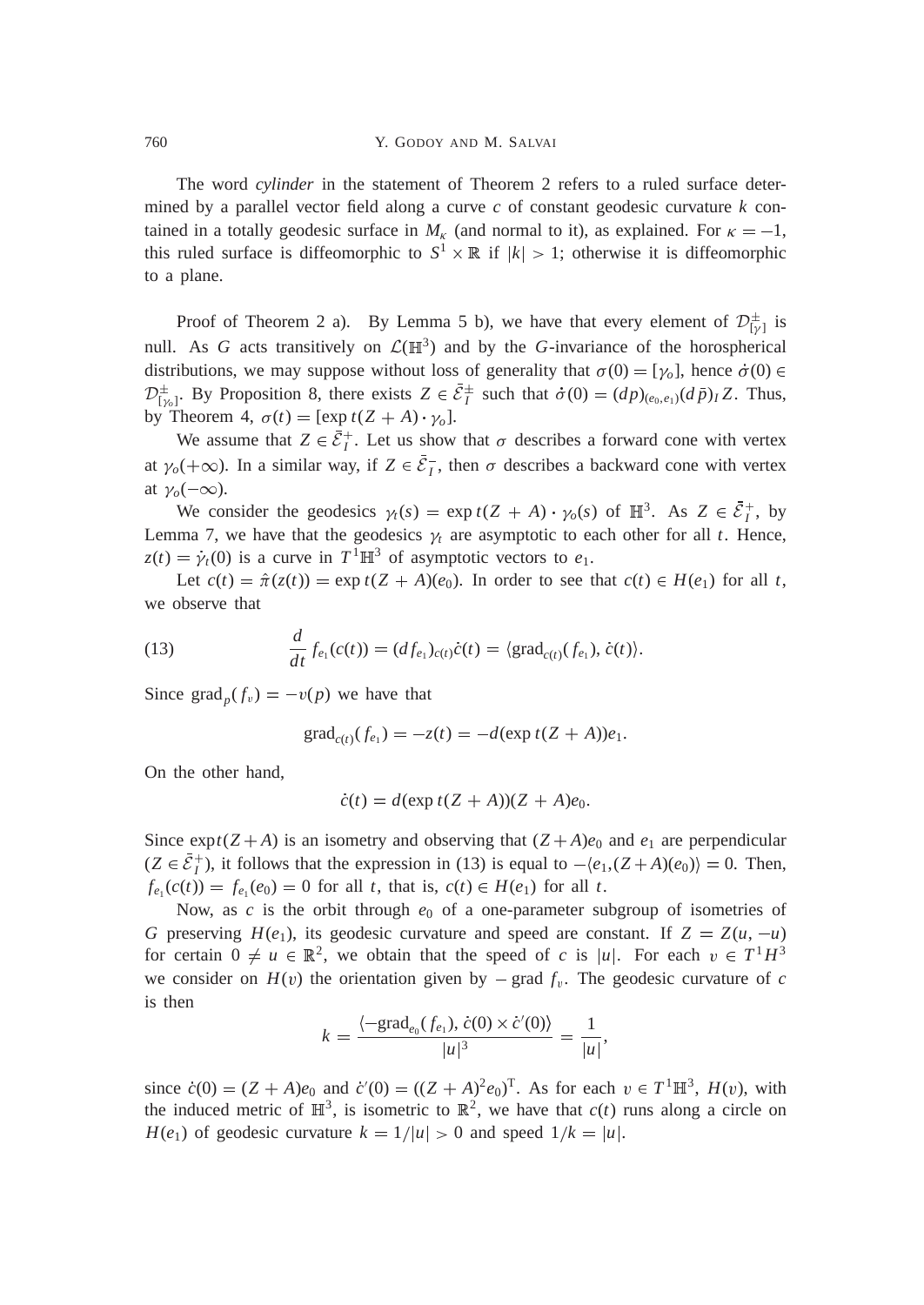The word *cylinder* in the statement of Theorem 2 refers to a ruled surface determined by a parallel vector field along a curve *c* of constant geodesic curvature *k* contained in a totally geodesic surface in  $M_k$  (and normal to it), as explained. For  $\kappa = -1$ , this ruled surface is diffeomorphic to  $S^1 \times \mathbb{R}$  if  $|k| > 1$ ; otherwise it is diffeomorphic to a plane.

Proof of Theorem 2 a). By Lemma 5 b), we have that every element of  $\mathcal{D}^{\pm}_{[\gamma]}$  is null. As *G* acts transitively on  $\mathcal{L}(\mathbb{H}^3)$  and by the *G*-invariance of the horospherical distributions, we may suppose without loss of generality that  $\sigma(0) = [\gamma_o]$ , hence  $\dot{\sigma}(0) \in$  $\mathcal{D}_{[\gamma_0]}^{\pm}$ . By Proposition 8, there exists  $Z \in \bar{\mathcal{E}}_I^{\pm}$  such that  $\dot{\sigma}(0) = (dp)_{(e_0,e_1)}(d\bar{p})_I Z$ . Thus, by Theorem 4,  $\sigma(t) = [\exp t(Z + A) \cdot \gamma_o].$ 

We assume that  $Z \in \bar{\mathcal{E}}_I^+$ . Let us show that  $\sigma$  describes a forward cone with vertex at  $\gamma_o(+\infty)$ . In a similar way, if  $Z \in \bar{\mathcal{E}}_I^-$ , then  $\sigma$  describes a backward cone with vertex at  $\gamma_o(-\infty)$ .

We consider the geodesics  $\gamma_t(s) = \exp t(Z + A) \cdot \gamma_o(s)$  of  $\mathbb{H}^3$ . As  $Z \in \bar{\mathcal{E}}_1^+$ , by Lemma 7, we have that the geodesics  $\gamma_t$  are asymptotic to each other for all *t*. Hence,  $z(t) = \dot{\gamma}_t(0)$  is a curve in  $T^1 \mathbb{H}^3$  of asymptotic vectors to  $e_1$ .

Let  $c(t) = \hat{\pi}(z(t)) = \exp t(Z + A)(e_0)$ . In order to see that  $c(t) \in H(e_1)$  for all *t*, we observe that

(13) 
$$
\frac{d}{dt} f_{e_1}(c(t)) = (df_{e_1})_{c(t)} \dot{c}(t) = \langle \text{grad}_{c(t)}(f_{e_1}), \dot{c}(t) \rangle.
$$

Since  $\text{grad}_p(f_v) = -v(p)$  we have that

$$
\text{grad}_{c(t)}(f_{e_1}) = -z(t) = -d(\exp t(Z + A))e_1.
$$

On the other hand,

$$
\dot{c}(t) = d(\exp t(Z+A))(Z+A)e_0.
$$

Since  $expt(Z+A)$  is an isometry and observing that  $(Z+A)e_0$  and  $e_1$  are perpendicular  $(Z \in \bar{\mathcal{E}}_I^+)$ , it follows that the expression in (13) is equal to  $-\langle e_1,(Z+A)(e_0)\rangle = 0$ . Then,  $f_{e_1}(c(t)) = f_{e_1}(e_0) = 0$  for all *t*, that is,  $c(t) \in H(e_1)$  for all *t*.

Now, as  $c$  is the orbit through  $e_0$  of a one-parameter subgroup of isometries of *G* preserving  $H(e_1)$ , its geodesic curvature and speed are constant. If  $Z = Z(u, -u)$ for certain  $0 \neq u \in \mathbb{R}^2$ , we obtain that the speed of *c* is |u|. For each  $v \in T^1H^3$ we consider on  $H(v)$  the orientation given by  $-\text{grad } f_v$ . The geodesic curvature of *c* is then

$$
k = \frac{\langle -\text{grad}_{e_0}(f_{e_1}), \dot{c}(0) \times \dot{c}'(0) \rangle}{|u|^3} = \frac{1}{|u|},
$$

since  $\dot{c}(0) = (Z + A)e_0$  and  $\dot{c}'(0) = ((Z + A)^2 e_0)^T$ . As for each  $v \in T^1 \mathbb{H}^3$ ,  $H(v)$ , with the induced metric of  $\mathbb{H}^3$ , is isometric to  $\mathbb{R}^2$ , we have that  $c(t)$  runs along a circle on  $H(e_1)$  of geodesic curvature  $k = 1/|u| > 0$  and speed  $1/k = |u|$ .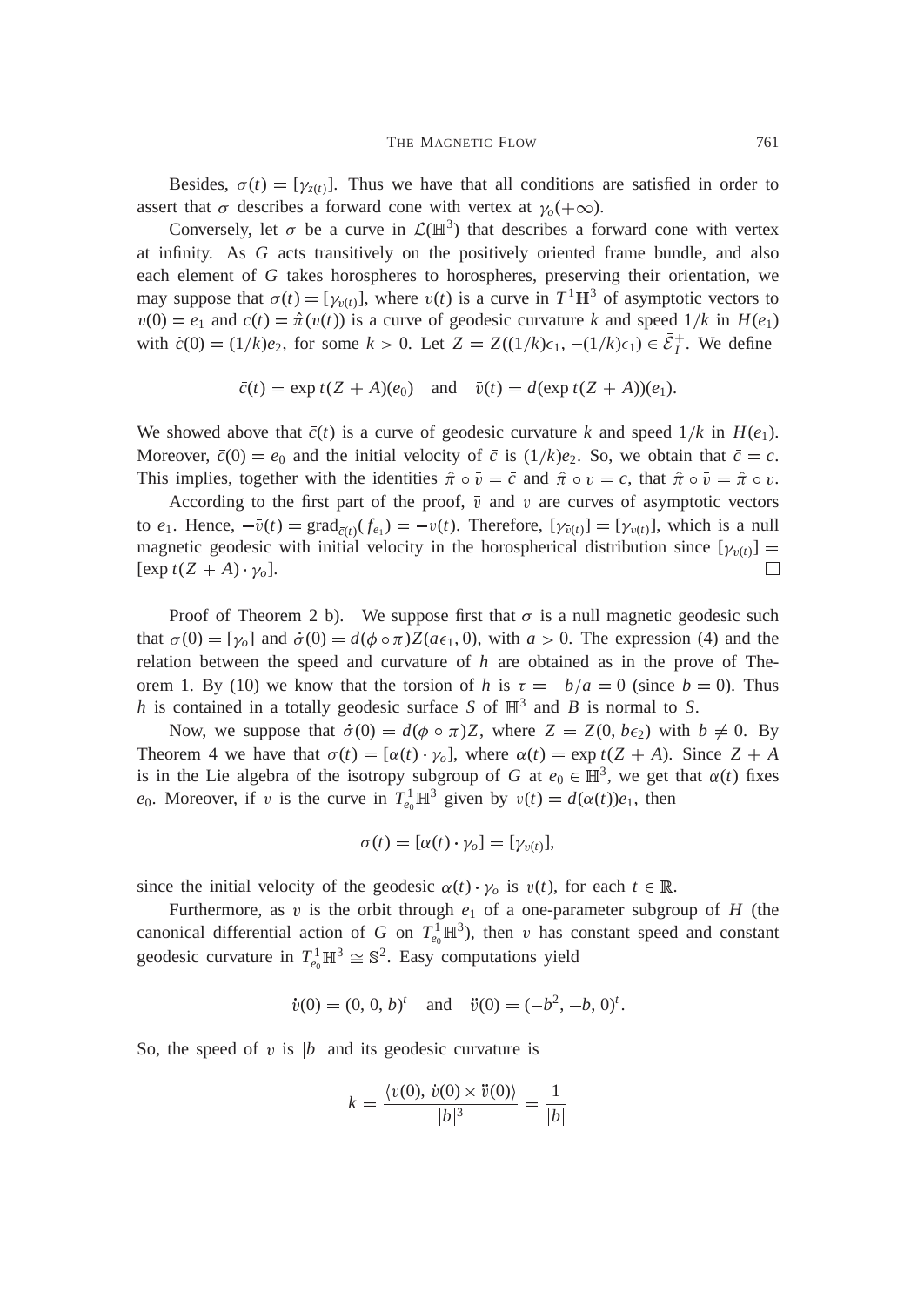Besides,  $\sigma(t) = [\gamma_{z(t)}]$ . Thus we have that all conditions are satisfied in order to assert that  $\sigma$  describes a forward cone with vertex at  $\gamma_o(+\infty)$ .

Conversely, let  $\sigma$  be a curve in  $\mathcal{L}(\mathbb{H}^3)$  that describes a forward cone with vertex at infinity. As *G* acts transitively on the positively oriented frame bundle, and also each element of *G* takes horospheres to horospheres, preserving their orientation, we may suppose that  $\sigma(t) = [\gamma_{v(t)}]$ , where  $v(t)$  is a curve in  $T^1 \mathbb{H}^3$  of asymptotic vectors to  $v(0) = e_1$  and  $c(t) = \hat{\pi}(v(t))$  is a curve of geodesic curvature *k* and speed  $1/k$  in  $H(e_1)$ with  $\dot{c}(0) = (1/k)e_2$ , for some  $k > 0$ . Let  $Z = Z((1/k)\epsilon_1, -(1/k)\epsilon_1) \in \bar{\mathcal{E}}_1^+$ . We define

$$
\overline{c}(t) = \exp t(Z + A)(e_0) \quad \text{and} \quad \overline{v}(t) = d(\exp t(Z + A))(e_1).
$$

We showed above that  $\bar{c}(t)$  is a curve of geodesic curvature *k* and speed  $1/k$  in  $H(e_1)$ . Moreover,  $\bar{c}(0) = e_0$  and the initial velocity of  $\bar{c}$  is  $(1/k)e_2$ . So, we obtain that  $\bar{c} = c$ . This implies, together with the identities  $\hat{\pi} \circ \bar{\nu} = \bar{c}$  and  $\hat{\pi} \circ \nu = c$ , that  $\hat{\pi} \circ \bar{\nu} = \hat{\pi} \circ \nu$ .

According to the first part of the proof,  $\overline{v}$  and v are curves of asymptotic vectors to  $e_1$ . Hence,  $-\overline{v}(t) = \text{grad}_{\overline{c}(t)}(f_{e_1}) = -v(t)$ . Therefore,  $[\gamma_{\overline{v}(t)}] = [\gamma_{v(t)}]$ , which is a null magnetic geodesic with initial velocity in the horospherical distribution since  $[\gamma_{v(t)}] =$  $[\exp t(Z + A) \cdot \gamma_o].$  $\Box$ 

Proof of Theorem 2 b). We suppose first that  $\sigma$  is a null magnetic geodesic such that  $\sigma(0) = [\gamma_{0}]$  and  $\dot{\sigma}(0) = d(\phi \circ \pi)Z(a\epsilon_{1}, 0)$ , with  $a > 0$ . The expression (4) and the relation between the speed and curvature of *h* are obtained as in the prove of Theorem 1. By (10) we know that the torsion of *h* is  $\tau = -b/a = 0$  (since  $b = 0$ ). Thus *h* is contained in a totally geodesic surface *S* of  $\mathbb{H}^3$  and *B* is normal to *S*.

Now, we suppose that  $\dot{\sigma}(0) = d(\phi \circ \pi)Z$ , where  $Z = Z(0, b\epsilon_2)$  with  $b \neq 0$ . By Theorem 4 we have that  $\sigma(t) = [\alpha(t) \cdot \gamma_o]$ , where  $\alpha(t) = \exp(t(Z + A))$ . Since  $Z + A$ is in the Lie algebra of the isotropy subgroup of *G* at  $e_0 \in \mathbb{H}^3$ , we get that  $\alpha(t)$  fixes *e*<sub>0</sub>. Moreover, if *v* is the curve in  $T_{e_0}^1 \mathbb{H}^3$  given by  $v(t) = d(\alpha(t))e_1$ , then

$$
\sigma(t) = [\alpha(t) \cdot \gamma_o] = [\gamma_{v(t)}],
$$

since the initial velocity of the geodesic  $\alpha(t) \cdot \gamma_o$  is  $v(t)$ , for each  $t \in \mathbb{R}$ .

Furthermore, as  $v$  is the orbit through  $e_1$  of a one-parameter subgroup of  $H$  (the canonical differential action of *G* on  $T_{e_0}^1 \mathbb{H}^3$ , then *v* has constant speed and constant geodesic curvature in  $T_{e_0}^1 \mathbb{H}^3 \cong \mathbb{S}^2$ . Easy computations yield

$$
\dot{v}(0) = (0, 0, b)^t
$$
 and  $\ddot{v}(0) = (-b^2, -b, 0)^t$ .

So, the speed of  $v$  is  $|b|$  and its geodesic curvature is

$$
k = \frac{\langle v(0), \dot{v}(0) \times \ddot{v}(0) \rangle}{|b|^3} = \frac{1}{|b|}
$$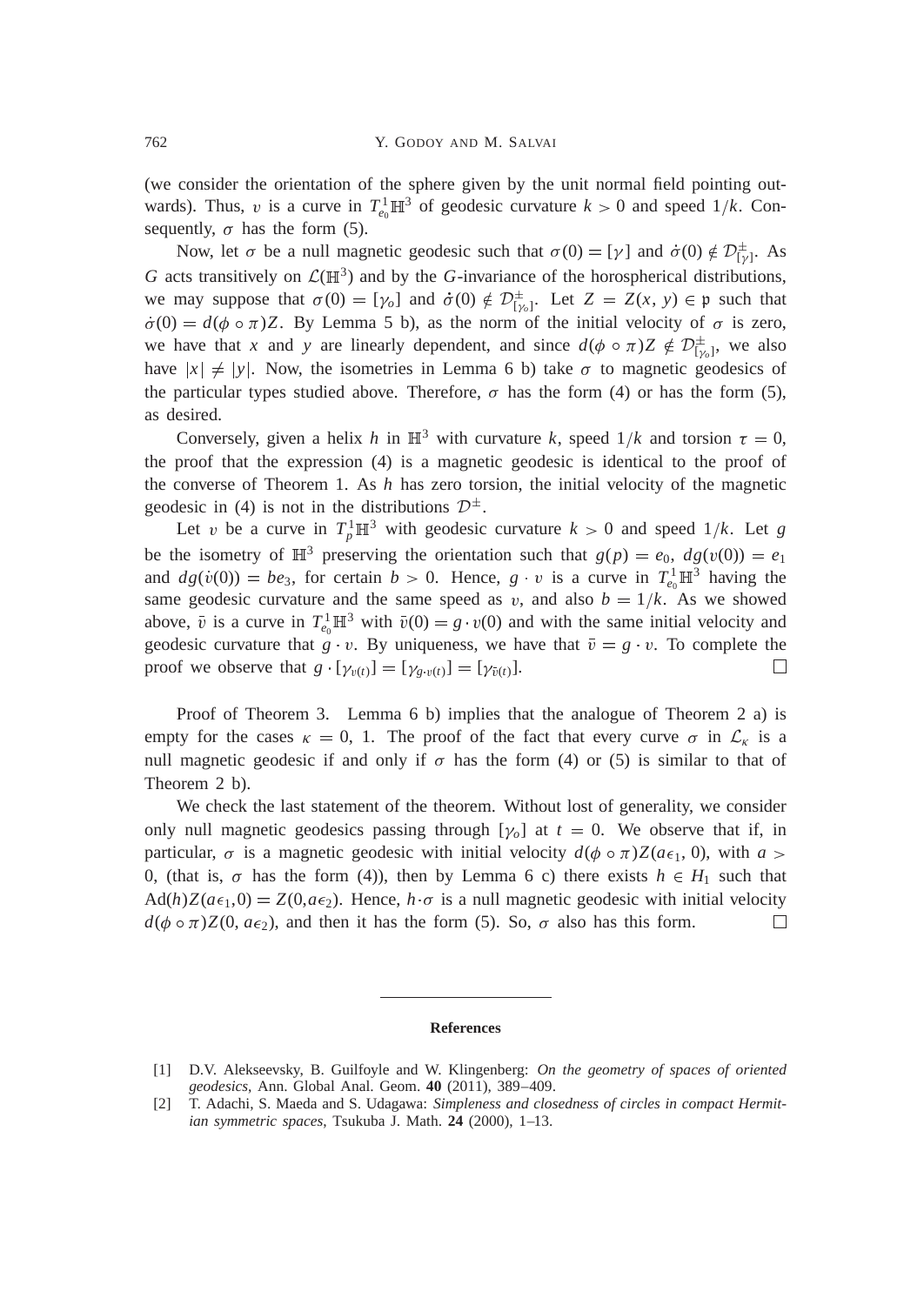(we consider the orientation of the sphere given by the unit normal field pointing outwards). Thus, v is a curve in  $T_{e_0}^1 \mathbb{H}^3$  of geodesic curvature  $k > 0$  and speed  $1/k$ . Consequently,  $\sigma$  has the form (5).

Now, let  $\sigma$  be a null magnetic geodesic such that  $\sigma(0) = [\gamma]$  and  $\dot{\sigma}(0) \notin \mathcal{D}_{[\gamma]}^{\pm}$ . As G acts transitively on  $\mathcal{L}(\mathbb{H}^3)$  and by the G-invariance of the horospherical distributions, we may suppose that  $\sigma(0) = [\gamma_0]$  and  $\dot{\sigma}(0) \notin \mathcal{D}_{[\gamma_0]}^{\pm}$ . Let  $Z = Z(x, y) \in \mathfrak{p}$  such that  $\dot{\sigma}(0) = d(\phi \circ \pi)Z$ . By Lemma 5 b), as the norm of the initial velocity of  $\sigma$  is zero, we have that *x* and *y* are linearly dependent, and since  $d(\phi \circ \pi)Z \notin \mathcal{D}_{[\gamma_o]}^{\pm}$ , we also have  $|x| \neq |y|$ . Now, the isometries in Lemma 6 b) take  $\sigma$  to magnetic geodesics of the particular types studied above. Therefore,  $\sigma$  has the form (4) or has the form (5), as desired.

Conversely, given a helix *h* in  $\mathbb{H}^3$  with curvature *k*, speed  $1/k$  and torsion  $\tau = 0$ , the proof that the expression (4) is a magnetic geodesic is identical to the proof of the converse of Theorem 1. As *h* has zero torsion, the initial velocity of the magnetic geodesic in (4) is not in the distributions  $\mathcal{D}^{\pm}$ .

Let v be a curve in  $T_p^1 \mathbb{H}^3$  with geodesic curvature  $k > 0$  and speed  $1/k$ . Let *g* be the isometry of  $\mathbb{H}^3$  preserving the orientation such that  $g(p) = e_0$ ,  $dg(v(0)) = e_1$ and  $dg(v(0)) = be_3$ , for certain  $b > 0$ . Hence,  $g \cdot v$  is a curve in  $T_{e_0}^1 \mathbb{H}^3$  having the same geodesic curvature and the same speed as v, and also  $b = 1/k$ . As we showed above,  $\bar{v}$  is a curve in  $T_{e_0}^1 \mathbb{H}^3$  with  $\bar{v}(0) = g \cdot v(0)$  and with the same initial velocity and geodesic curvature that  $g \cdot v$ . By uniqueness, we have that  $\overline{v} = g \cdot v$ . To complete the proof we observe that  $g \cdot [\gamma_{v(t)}] = [\gamma_{g \cdot v(t)}] = [\gamma_{\bar{v}(t)}].$  $\Box$ 

Proof of Theorem 3. Lemma 6 b) implies that the analogue of Theorem 2 a) is empty for the cases  $\kappa = 0$ , 1. The proof of the fact that every curve  $\sigma$  in  $\mathcal{L}_{\kappa}$  is a null magnetic geodesic if and only if  $\sigma$  has the form (4) or (5) is similar to that of Theorem 2 b).

We check the last statement of the theorem. Without lost of generality, we consider only null magnetic geodesics passing through  $[\gamma_o]$  at  $t = 0$ . We observe that if, in particular,  $\sigma$  is a magnetic geodesic with initial velocity  $d(\phi \circ \pi)Z(a\epsilon_1, 0)$ , with  $a >$ 0, (that is,  $\sigma$  has the form (4)), then by Lemma 6 c) there exists  $h \in H_1$  such that  $Ad(h)Z(a\epsilon_1,0) = Z(0, a\epsilon_2)$ . Hence,  $h \cdot \sigma$  is a null magnetic geodesic with initial velocity  $d(\phi \circ \pi)Z(0, a\epsilon_2)$ , and then it has the form (5). So,  $\sigma$  also has this form.  $\Box$ 

## **References**

<sup>[1]</sup> D.V. Alekseevsky, B. Guilfoyle and W. Klingenberg: *On the geometry of spaces of oriented geodesics*, Ann. Global Anal. Geom. **40** (2011), 389–409.

<sup>[2]</sup> T. Adachi, S. Maeda and S. Udagawa: *Simpleness and closedness of circles in compact Hermitian symmetric spaces*, Tsukuba J. Math. **24** (2000), 1–13.